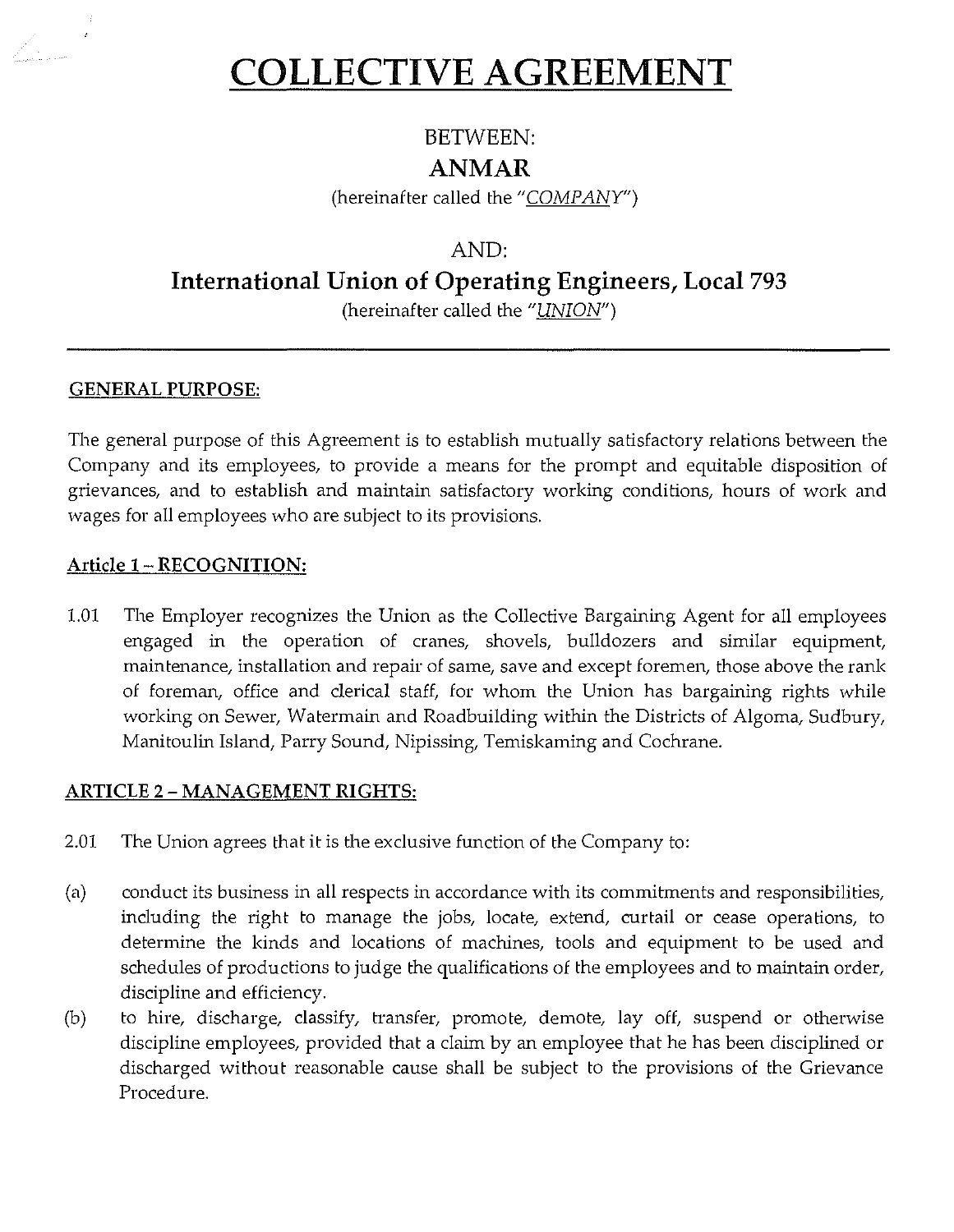# **COLLECTIVE AGREEMENT**

## BETWEEN:

## **ANMAR**

(hereinafter called the " $COMPANY$ ")

## AND:

## **International Union of Operating Engineers, Local 793**

(hereinafter called the "UNION")

## **GENERAL PURPOSE:**

 $\mathbf{z}$ 

The general purpose of this Agreement is to establish mutually satisfactory relations between the Company and its employees, to provide a means for the prompt and equitable disposition of grievances, and to establish and maintain satisfactory working conditions, hours of work and wages for all employees who are subject to its provisions.

## **Article 1- RECOGNITION:**

1.01 The Employer recognizes the Union as the Collective Bargaining Agent for all employees engaged in the operation of cranes, shovels, bulldozers and similar equipment, maintenance, installation and repair of same, save and except foremen, those above the rank of foreman, office and clerical staff, for whom the Union has bargaining rights while working on Sewer, Watermain and Roadbuilding within the Districts of Algoma, Sudbury, Manitoulin Island, Parry Sound, Nipissing, Temiskaming and Cochrane.

## **ARTICLE 2- MANAGEMENT RIGHTS:**

- 2.01 The Union agrees that it is the exclusive function of the Company to:
- (a) conduct its business in all respects in accordance with its commitments and responsibilities, including the right to manage the jobs, locate, extend, curtail or cease operations, to determine the kinds and locations of machines, tools and equipment to be used and schedules of productions to judge the qualifications of the employees and to maintain order, discipline and efficiency.
- (b) to hire, discharge, classify, transfer, promote, demote, lay off, suspend or otherwise discipline employees, provided that a claim by an employee that he has been disciplined or discharged without reasonable cause shall be subject to the provisions of the Grievance Procedure.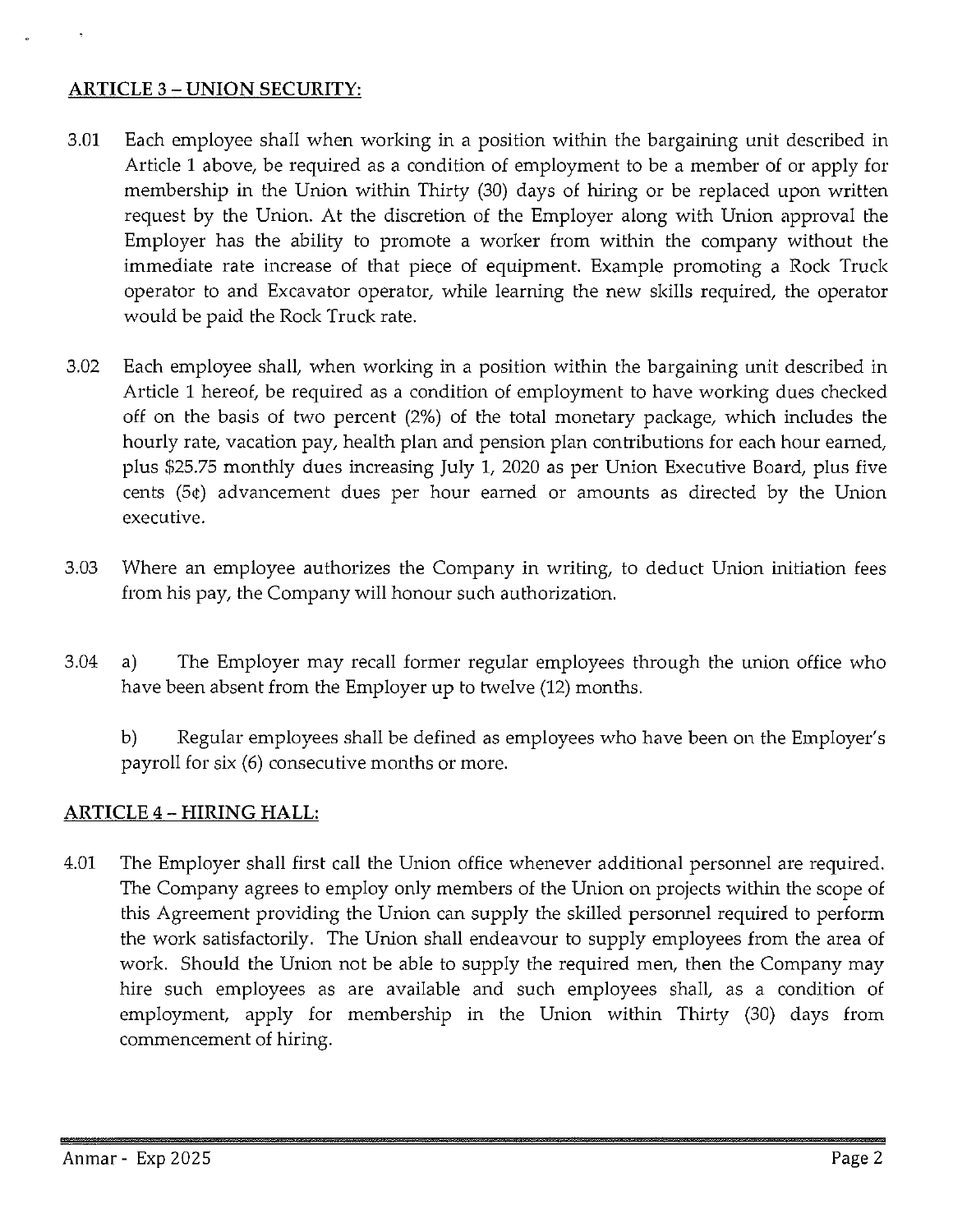## **ARTICLE** 3 - **UNION SECURITY:**

- 3.01 Each employee shall when working in a position within the bargaining unit described in Article 1 above, be required as a condition of employment to be a member of or apply for membership in the Union within Thirty (30) days of hiring or be replaced upon written request by the Union. At the discretion of the Employer along with Union approval the Employer has the ability to promote a worker from within the company without the immediate rate increase of that piece of equipment. Example promoting a Rock Truck operator to and Excavator operator, while learning the new skills required, the operator would be paid the Rock Truck rate.
- 3.02 Each employee shall, when working in a position within the bargaining unit described in Article 1 hereof, be required as a condition of employment to have working dues checked off on the basis of two percent (2%) of the total monetary package, which includes the hourly rate, vacation pay, health plan and pension plan contributions for each hour earned, plus \$25.75 monthly dues increasing July l, 2020 as per Union Executive Board, plus five cents (5¢) advancement dues per hour earned or amounts as directed by the Union executive.
- 3.03 Where an employee authorizes the Company in writing, to deduct Union initiation fees from his pay, the Company will honour such authorization.
- 3.04 a) The Employer may recall former regular employees through the union office who have been absent from the Employer up to twelve (12) months.

b) Regular employees shall be defined as employees who have been on the Employer's payroll for six (6) consecutive months or more.

## **ARTICLE** 4 - **HIRING HALL:**

4.01 The Employer shall first call the Union office whenever additional personnel are required. The Company agrees to employ only members of the Union on projects within the scope of this Agreement providing the Union can supply the skilled personnel required to perform the work satisfactorily. The Union shall endeavour to supply employees from the area of work. Should the Union not be able to supply the required men, then the Company may hire such employees as are available and such employees shall, as a condition of employment, apply for membership in the Union within Thirty (30) days from commencement of hiring.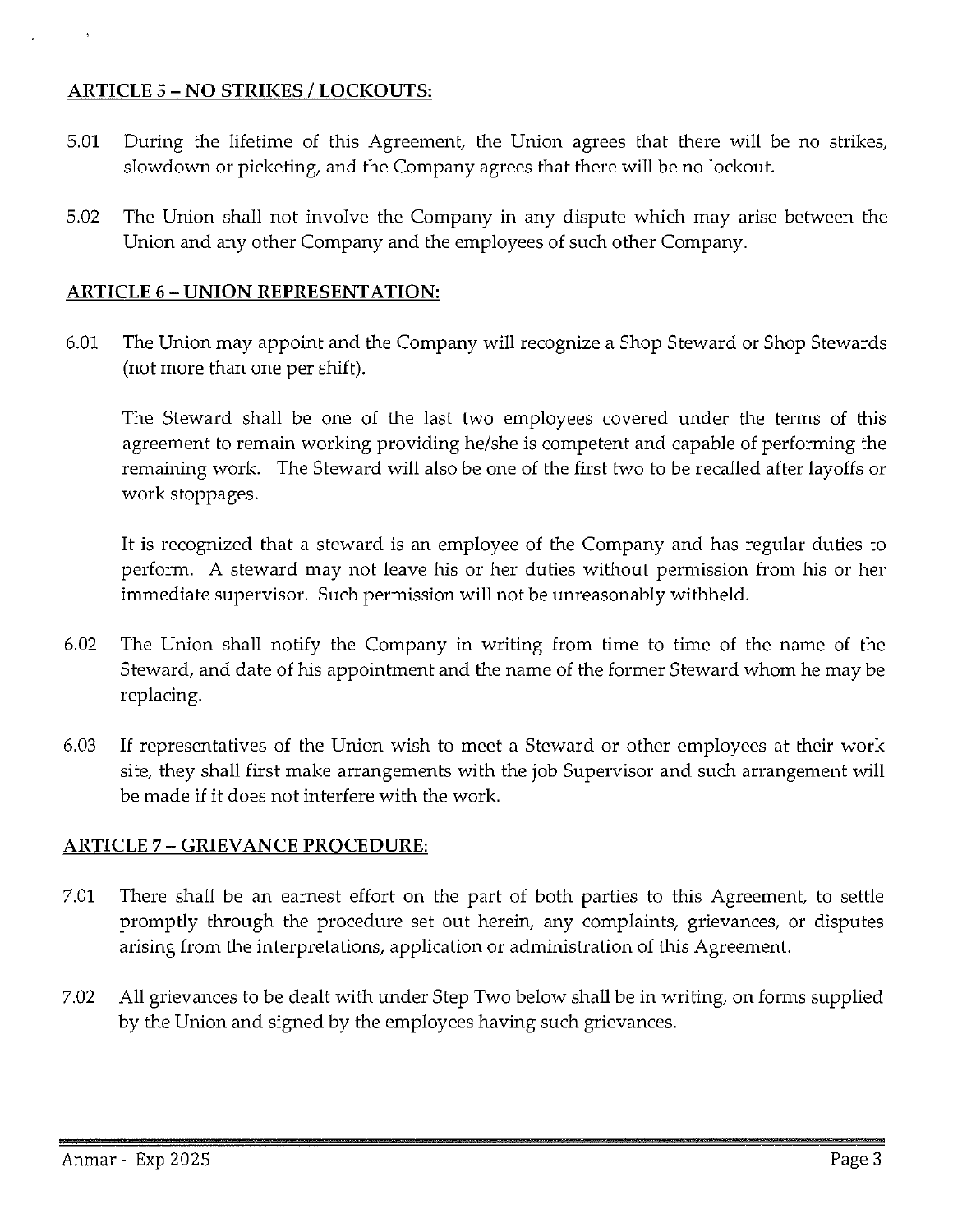### **ARTICLE** 5 - **NO STRIKES I LOCKOUTS:**

- 5.01 During the lifetime of this Agreement, the Union agrees that there will be no strikes, slowdown or picketing, and the Company agrees that there will be no lockout.
- 5.02 The Union shall not involve the Company in any dispute which may arise between the Union and any other Company and the employees of such other Company.

#### **ARTICLE 6- UNION REPRESENTATION:**

6.01 The Union may appoint and the Company will recognize a Shop Steward or Shop Stewards (not more than one per shift).

The Steward shall be one of the last two employees covered under the terms of this agreement to remain working providing he/she is competent and capable of performing the remaining work. The Steward will also be one of the first two to be recalled after layoffs or work stoppages.

It is recognized that a steward is an employee of the Company and has regular duties to perform. A steward may not leave his or her duties without permission from his or her immediate supervisor. Such permission will not be unreasonably withheld.

- 6.02 The Union shall notify the Company in writing from time to time of the name of the Steward, and date of his appointment and the name of the former Steward whom he may be replacing.
- 6.03 If representatives of the Union wish to meet a Steward or other employees at their work site, they shall first make arrangements with the job Supervisor and such arrangement will be made if it does not interfere with the work.

#### **ARTICLE** 7 - **GRIEVANCE PROCEDURE:**

- 7.01 There shall be an earnest effort on the part of both parties to this Agreement, to settle promptly through the procedure set out herein, any complaints, grievances, or disputes arising from the interpretations, application or administration of this Agreement.
- 7.02 All grievances to be dealt with under Step Two below shall be in writing, on forms supplied by the Union and signed by the employees having such grievances.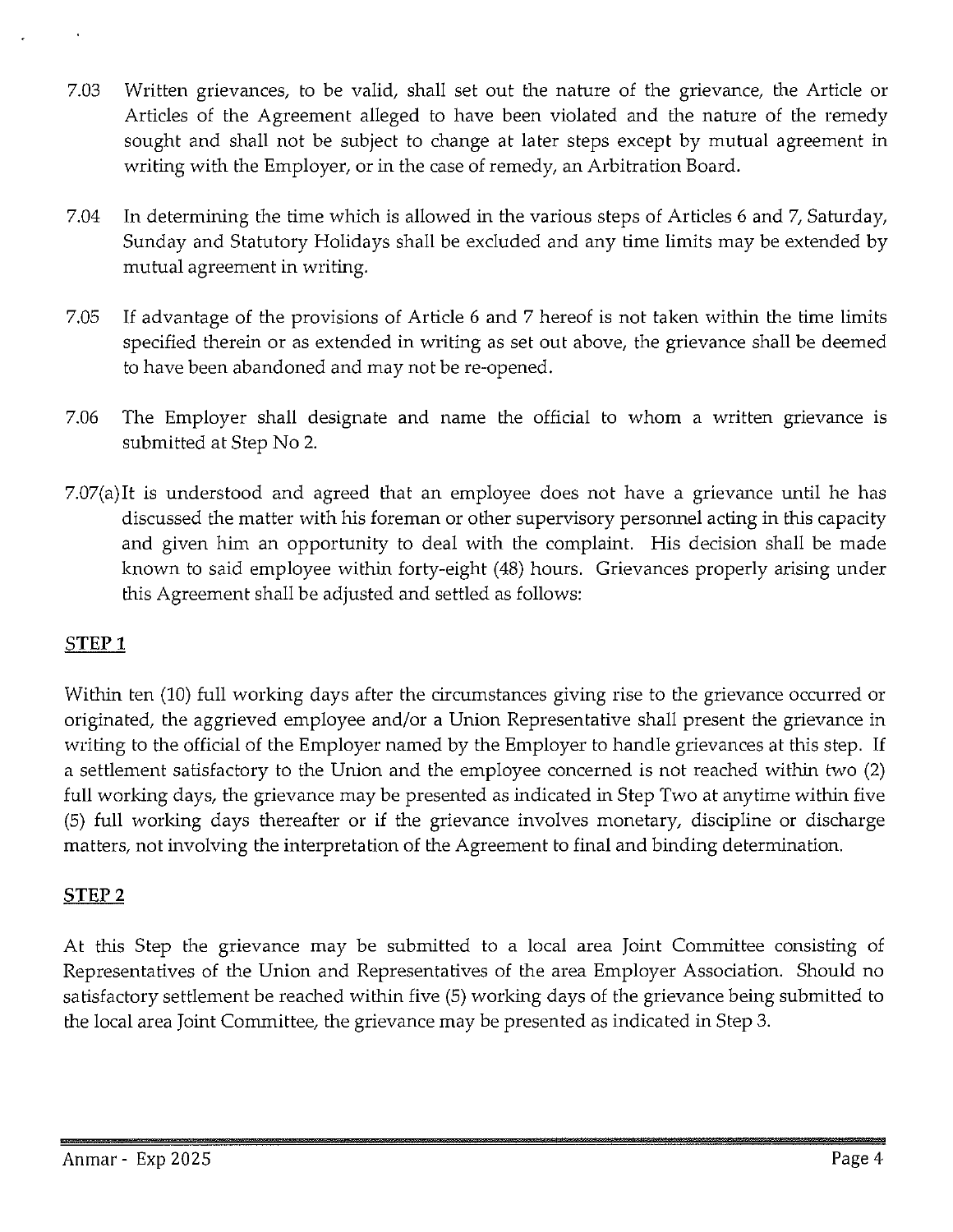- 7.03 Written grievances, to be valid, shall set out the nature of the grievance, the Article or Articles of the Agreement alleged to have been violated and the nature of the remedy sought and shall not be subject to change at later steps except by mutual agreement in writing with the Employer, or in the case of remedy, an Arbitration Board.
- 7.04 In determining the time which is allowed in the various steps of Articles 6 and 7, Saturday, Sunday and Statutory Holidays shall be excluded and any time limits may be extended by mutual agreement in writing.
- 7.05 If advantage of the provisions of Article 6 and 7 hereof is not taken within the time limits specified therein or as extended in writing as set out above, the grievance shall be deemed to have been abandoned and may not be re-opened.
- 7.06 The Employer shall designate and name the official to whom a written grievance is submitted at Step No 2.
- 7.07(a)It is understood and agreed that an employee does not have a grievance until he has discussed the matter with his foreman or other supervisory personnel acting in this capacity and given him an opportunity to deal with the complaint. His decision shall be made known to said employee within forty-eight (48) hours. Grievances properly arising under this Agreement shall be adjusted and settled as follows:

## **STEP1**

Within ten (10) full working days after the circumstances giving rise to the grievance occurred or originated, the aggrieved employee and/or a Union Representative shall present the grievance in writing to the official of the Employer named by the Employer to handle grievances at this step. If a settlement satisfactory to the Union and the employee concerned is not reached within two (2) full working days, the grievance may be presented as indicated in Step Two at anytime within five (5) full working days thereafter or if the grievance involves monetary, discipline or discharge matters, not involving the interpretation of the Agreement to final and binding determination.

## **STEP2**

At this Step the grievance may be submitted to a local area Joint Committee consisting of Representatives of the Union and Representatives of the area Employer Association. Should no satisfactory settlement be reached within five (5) working days of the grievance being submitted to the local area Joint Committee, the grievance may be presented as indicated in Step 3.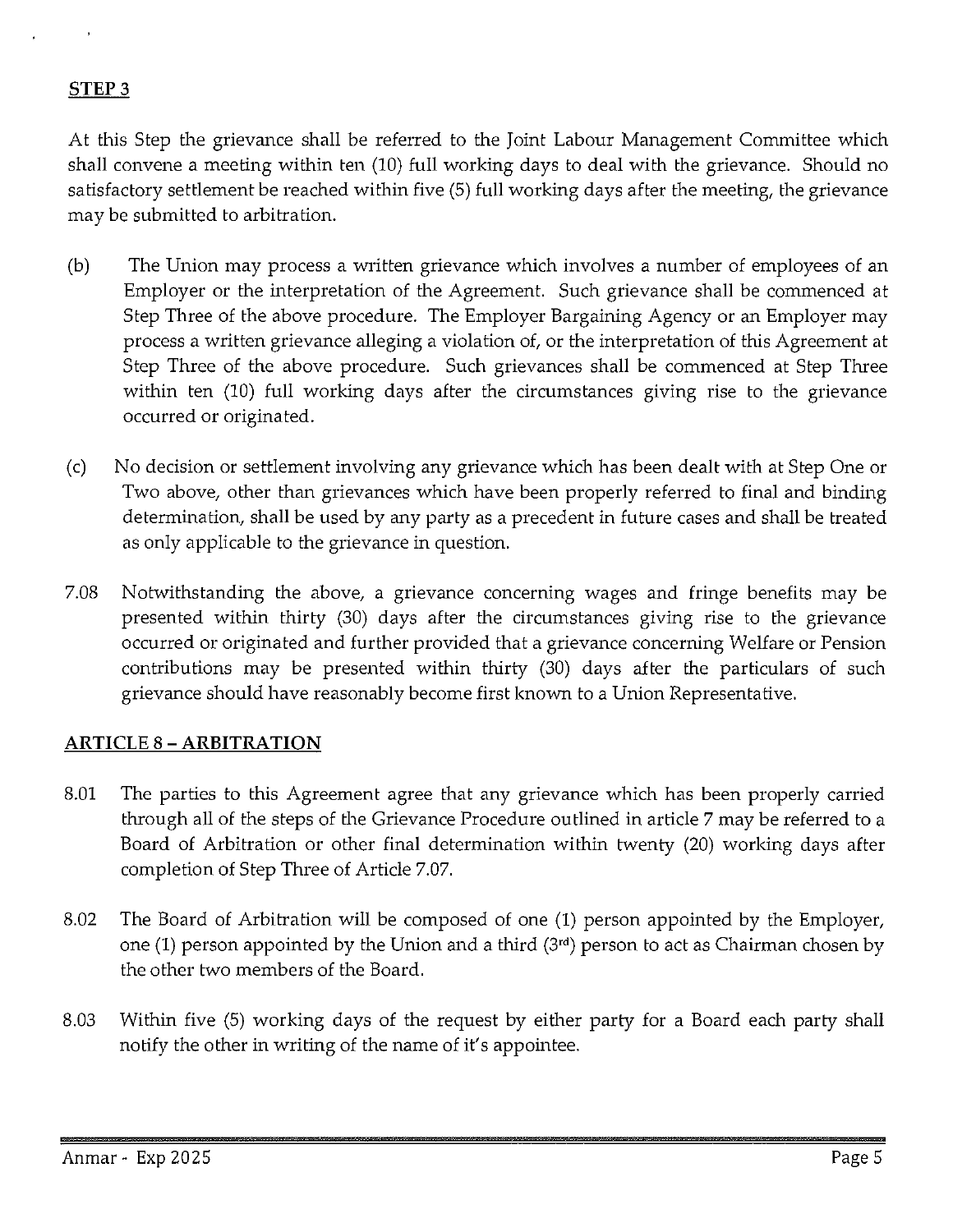#### **STEP3**

At this Step the grievance shall be referred to the Joint Labour Management Committee which shall convene a meeting within ten (10) full working days to deal with the grievance. Should no satisfactory settlement be reached within five (5) full working days after the meeting, the grievance may be submitted to arbitration.

- (b) The Union may process a written grievance which involves a number of employees of an Employer or the interpretation of the Agreement. Such grievance shall be commenced at Step Three of the above procedure. The Employer Bargaining Agency or an Employer may process a written grievance alleging a violation of, or the interpretation of this Agreement at Step Three of the above procedure. Such grievances shall be commenced at Step Three within ten (10) full working days after the circumstances giving rise to the grievance occurred or originated.
- (c) No decision or settlement involving any grievance which has been dealt with at Step One or Two above, other than grievances which have been properly referred to final and binding determination, shall be used by any party as a precedent in future cases and shall be treated as only applicable to the grievance in question.
- 7.08 Notwithstanding the above, a grievance concerning wages and fringe benefits may be presented within thirty (30) days after the circumstances giving rise to the grievance occurred or originated and further provided that a grievance concerning Welfare or Pension contributions may be presented within thirty (30) days after the particulars of such grievance should have reasonably become first known to a Union Representative.

#### **ARTICLE 8 -ARBITRATION**

- 8.01 The parties to this Agreement agree that any grievance which has been properly carried through all of the steps of the Grievance Procedure outlined in article 7 may be referred to a Board of Arbitration or other final determination within twenty (20) working days after completion of Step Three of Article 7.07.
- 8.02 The Board of Arbitration will be composed of one (1) person appointed by the Employer, one (1) person appointed by the Union and a third (3'd) person to act as Chairman chosen by the other two members of the Board.
- 8.03 Within five (5) working days of the request by either party for a Board each party shall notify the other in writing of the name of it's appointee.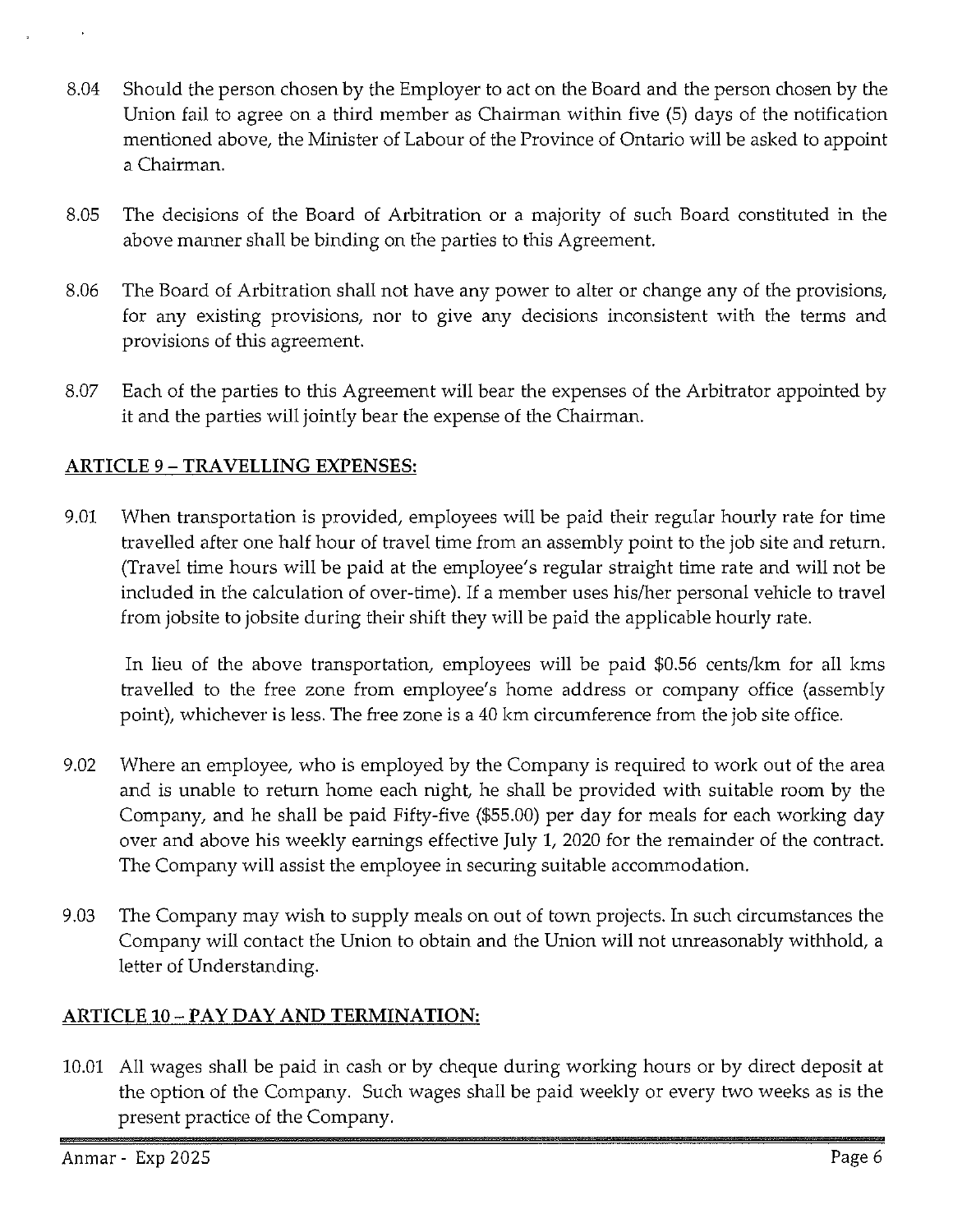- 8.04 Should the person chosen by the Employer to act on the Board and the person chosen by the Union fail to agree on a third member as Chairman within five (5) days of the notification mentioned above, the Minister of Labour of the Province of Ontario will be asked to appoint a Chairman.
- 8.05 The decisions of the Board of Arbitration or a majority of such Board constituted in the above manner shall be binding on the parties to this Agreement.
- 8.06 The Board of Arbitration shall not have any power to alter or change any of the provisions, for any existing provisions, nor to give any decisions inconsistent with the terms and provisions of this agreement.
- 8.07 Each of the parties to this Agreement will bear the expenses of the Arbitrator appointed by it and the parties will jointly bear the expense of the Chairman.

## **ARTICLE** 9 - **TRAVELLING EXPENSES:**

9.01 When transportation is provided, employees will be paid their regular hourly rate for time travelled after one half hour of travel time from an assembly point to the job site and return. (Travel time hours will be paid at the employee's regular straight time rate and will not be included in the calculation of over-time). If a member uses his/her personal vehicle to travel from jobsite to jobsite during their shift they will be paid the applicable hourly rate.

In lieu of the above transportation, employees will be paid \$0.56 cents/km for all kms travelled to the free zone from employee's home address or company office (assembly point), whichever is less. The free zone is a 40 km circumference from the job site office.

- 9.02 Where an employee, who is employed by the Company is required to work out of the area and is unable to return home each night, he shall be provided with suitable room by the Company, and he shall be paid Fifty-five (\$55.00) per day for meals for each working day over and above his weekly earnings effective July 1, 2020 for the remainder of the contract. The Company will assist the employee in securing suitable accommodation.
- 9.03 The Company may wish to supply meals on out of town projects. In such circumstances the Company will contact the Union to obtain and the Union will not unreasonably withhold, a letter of Understanding.

## **ARTICLE 10-PAY DAY AND TERMINATION:**

10.01 All wages shall be paid in cash or by cheque during working hours or by direct deposit at the option of the Company. Such wages shall be paid weekly or every two weeks as is the present practice of the Company.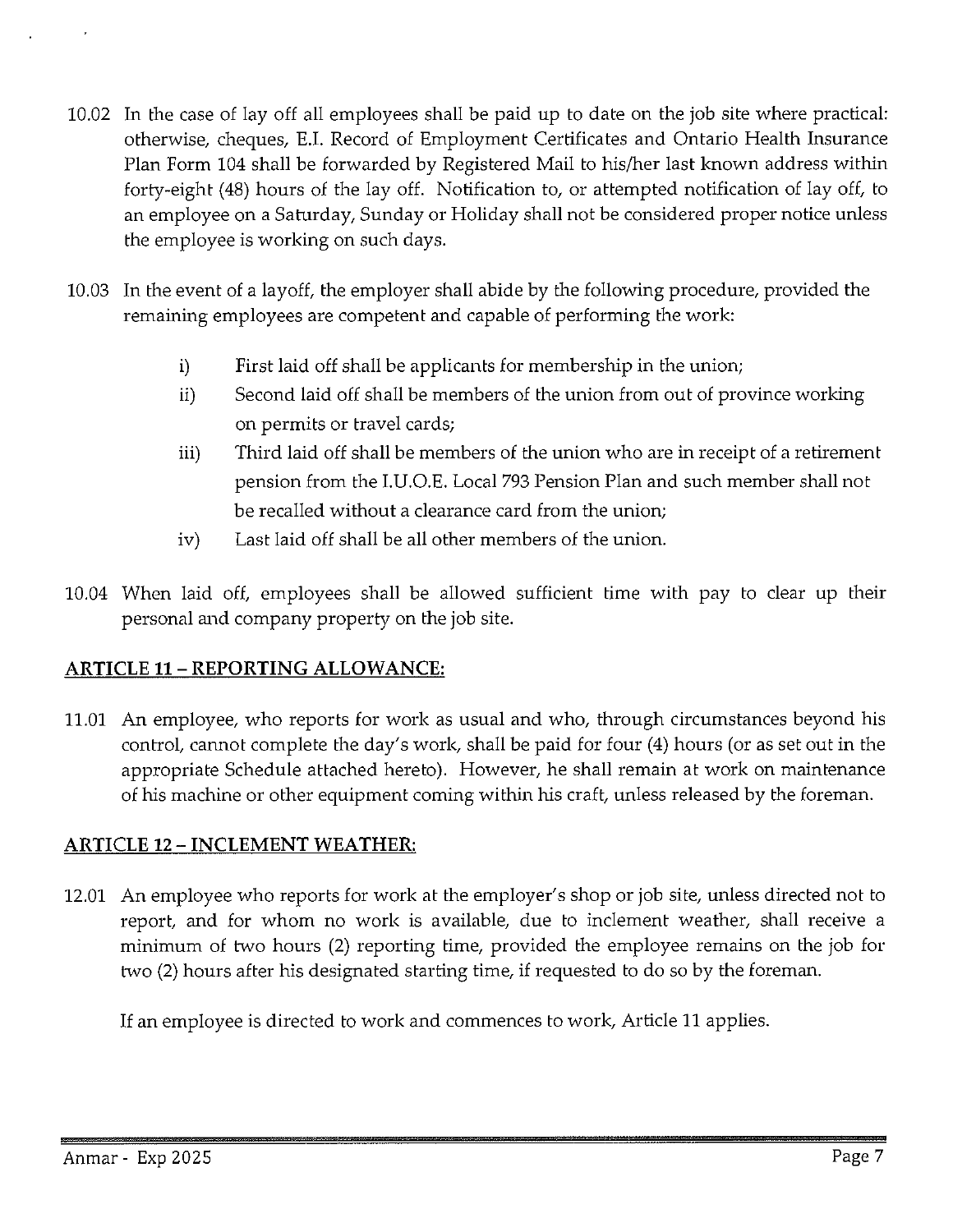- 10.02 In the case of lay off all employees shall be paid up to date on the job site where practical: otherwise, cheques, E.I. Record of Employment Certificates and Ontario Health Insurance Plan Form 104 shall be forwarded by Registered Mail to his/her last known address within forty-eight (48) hours of the lay off. Notification to, or attempted notification of lay off, to an employee on a Saturday, Sunday or Holiday shall not be considered proper notice unless the employee is working on such days.
- 10.03 In the event of a layoff, the employer shall abide by the following procedure, provided the remaining employees are competent and capable of performing the work:
	- i) First laid off shall be applicants for membership in the union;
	- ii) Second laid off shall be members of the union from out of province working on permits or travel cards;
	- iii) Third laid off shall be members of the union who are in receipt of a retirement pension from the I.U.O.E. Local 793 Pension Plan and such member shall not be recalled without a clearance card from the union;
	- iv) Last laid off shall be all other members of the union.
- 10.04 When laid off, employees shall be allowed sufficient time with pay to clear up their personal and company property on the job site.

## **ARTICLE 11- REPORTING ALLOWANCE:**

11.01 An employee, who reports for work as usual and who, through circumstances beyond his control, cannot complete the day's work, shall be paid for four (4) hours (or as set out in the appropriate Schedule attached hereto). However, he shall remain at work on maintenance of his machine or other equipment coming within his craft, unless released by the foreman.

## **ARTICLE 12- INCLEMENT WEATHER:**

12.01 An employee who reports for work at the employer's shop or job site, unless directed not to report, and for whom no work is available, due to inclement weather, shall receive a minimum of two hours (2) reporting time, provided the employee remains on the job for two (2) hours after his designated starting time, if requested to do so by the foreman.

If an employee is directed to work and commences to work, Article 11 applies.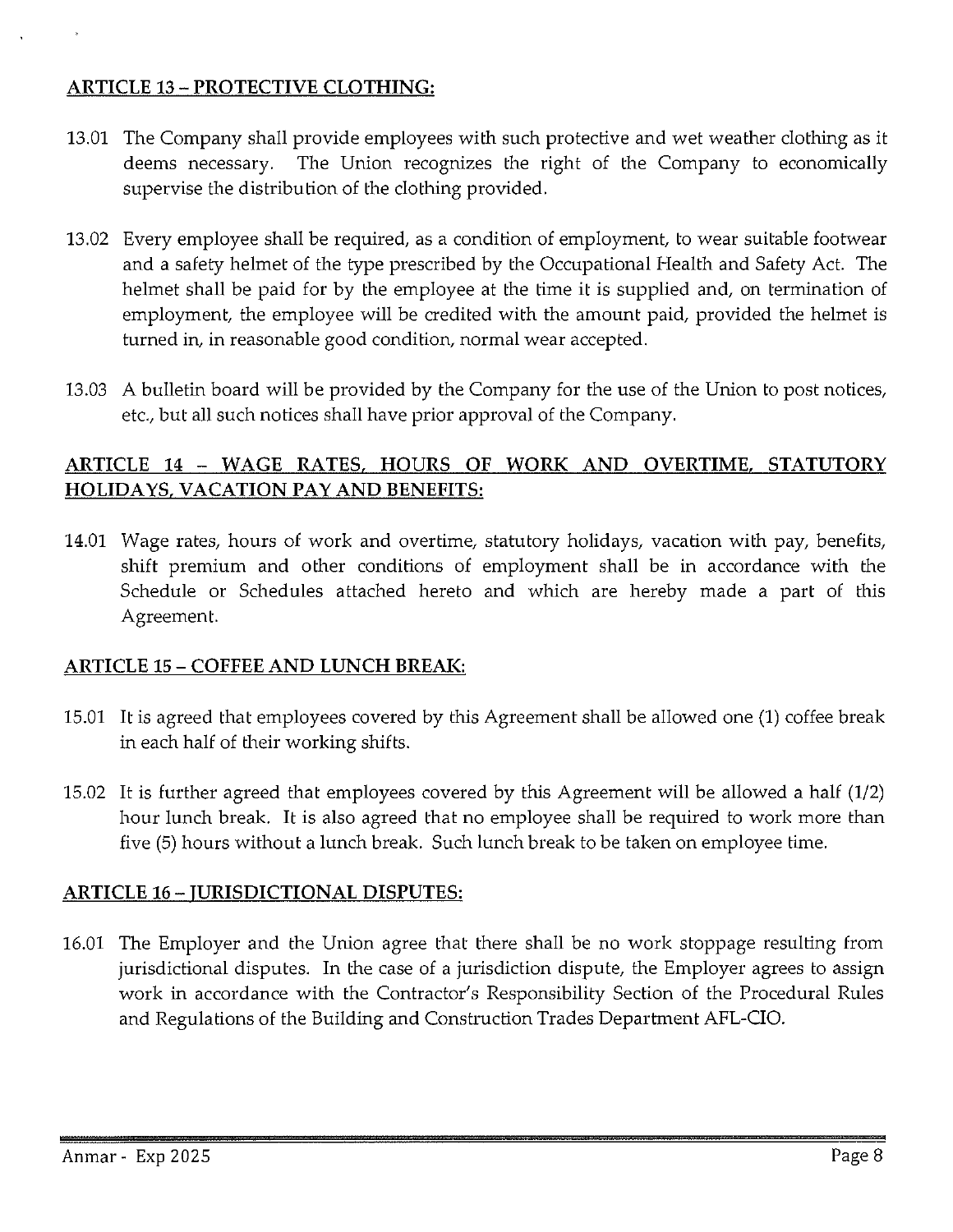## ARTICLE 13 - PROTECTIVE CLOTHING:

- 13.01 The Company shall provide employees with such protective and wet weather clothing as it deems necessary. The Union recognizes the right of the Company to economically supervise the distribution of the clothing provided.
- 13.02 Every employee shall be required, as a condition of employment, to wear suitable footwear and a safety helmet of the type prescribed by the Occupational Health and Safety Act. The helmet shall be paid for by the employee at the time it is supplied and, on termination of employment, the employee will be credited with the amount paid, provided the helmet is turned in, in reasonable good condition, normal wear accepted.
- 13.03 A bulletin board will be provided by the Company for the use of the Union to post notices, etc., but all such notices shall have prior approval of the Company.

## ARTICLE 14 - WAGE RATES, HOURS OF WORK AND OVERTIME, STATUTORY HOLIDAYS, VACATION PAY AND BENEFITS:

14.01 Wage rates, hours of work and overtime, statutory holidays, vacation with pay, benefits, shift premium and other conditions of employment shall be in accordance with the Schedule or Schedules attached hereto and which are hereby made a part of this Agreement.

## ARTICLE 15 - COFFEE AND LUNCH BREAK:

- 15.01 It is agreed that employees covered by this Agreement shall be allowed one (1) coffee break in each half of their working shifts.
- 15.02 It is further agreed that employees covered by this Agreement will be allowed a half (1/2) hour lunch break. It is also agreed that no employee shall be required to work more than five (5) hours without a lunch break. Such lunch break to be taken on employee time.

## ARTICLE 16 - JURISDICTIONAL DISPUTES:

16.01 The Employer and the Union agree that there shall be no work stoppage resulting from jurisdictional disputes. In the case of a jurisdiction dispute, the Employer agrees to assign work in accordance with the Contractor's Responsibility Section of the Procedural Rules and Regulations of the Building and Construction Trades Department AFL-CIO.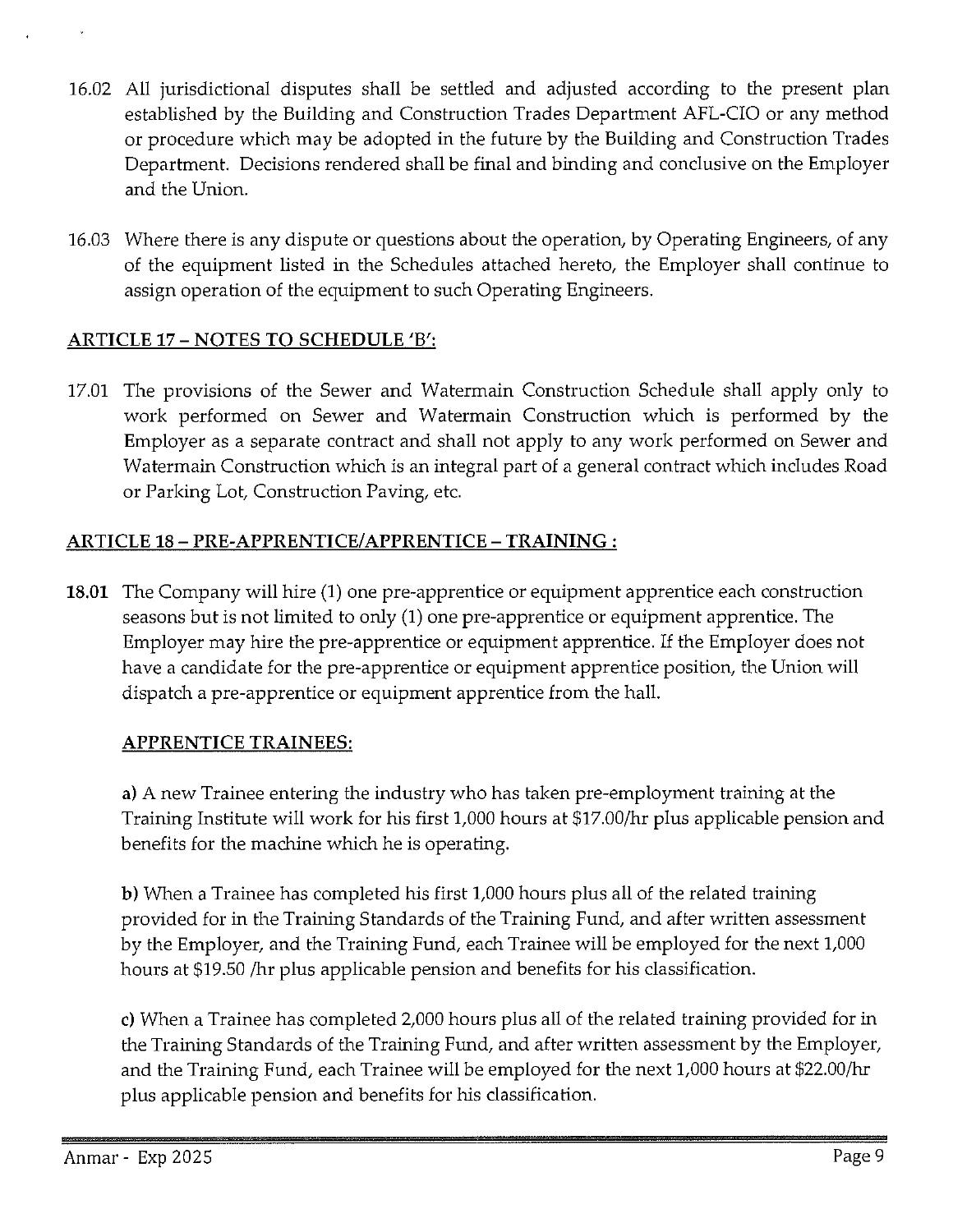- 16.02 All jurisdictional disputes shall be settled and adjusted according to the present plan established by the Building and Construction Trades Department AFL-CIO or any method or procedure which may be adopted in the future by the Building and Construction Trades Department. Decisions rendered shall be final and binding and conclusive on the Employer and the Union.
- 16.03 Where there is any dispute or questions about the operation, by Operating Engineers, of any of the equipment listed in the Schedules attached hereto, the Employer shall continue to assign operation of the equipment to such Operating Engineers.

## **ARTICLE 17 - NOTES TO SCHEDULE** 'B':

17.01 The provisions of the Sewer and Watermain Construction Schedule shall apply only to work performed on Sewer and Watermain Construction which is performed by the Employer as a separate contract and shall not apply to any work performed on Sewer and Watermain Construction which is an integral part of a general contract which includes Road or Parking Lot, Construction Paving, etc.

## **ARTICLE 18-PRE-APPRENTICE/APPRENTICE-TRAINING:**

**18.01** The Company will hire **(1)** one pre-apprentice or equipment apprentice each construction seasons but is not limited to only **(1)** one pre-apprentice or equipment apprentice. The Employer may hire the pre-apprentice or equipment apprentice. If the Employer does not have a candidate for the pre-apprentice or equipment apprentice position, the Union will dispatch a pre-apprentice or equipment apprentice from the hall.

## **APPRENTICE TRAINEES:**

**a)** A new Trainee entering the industry who has taken pre-employment training at the Training Institute will work for his first 1,000 hours at \$17.00/hr plus applicable pension and benefits for the machine which he is operating.

**b)** When a Trainee has completed his first 1,000 hours plus all of the related training provided for in the Training Standards of the Training Fund, and after written assessment by the Employer, and the Training Fund, each Trainee will be employed for the next 1,000 hours at \$19.50 /hr plus applicable pension and benefits for his classification.

c) When a Trainee has completed 2,000 hours plus all of the related training provided for in the Training Standards of the Training Fund, and after written assessment by the Employer, and the Training Fund, each Trainee will be employed for the next 1,000 hours at \$22.00/hr plus applicable pension and benefits for his classification.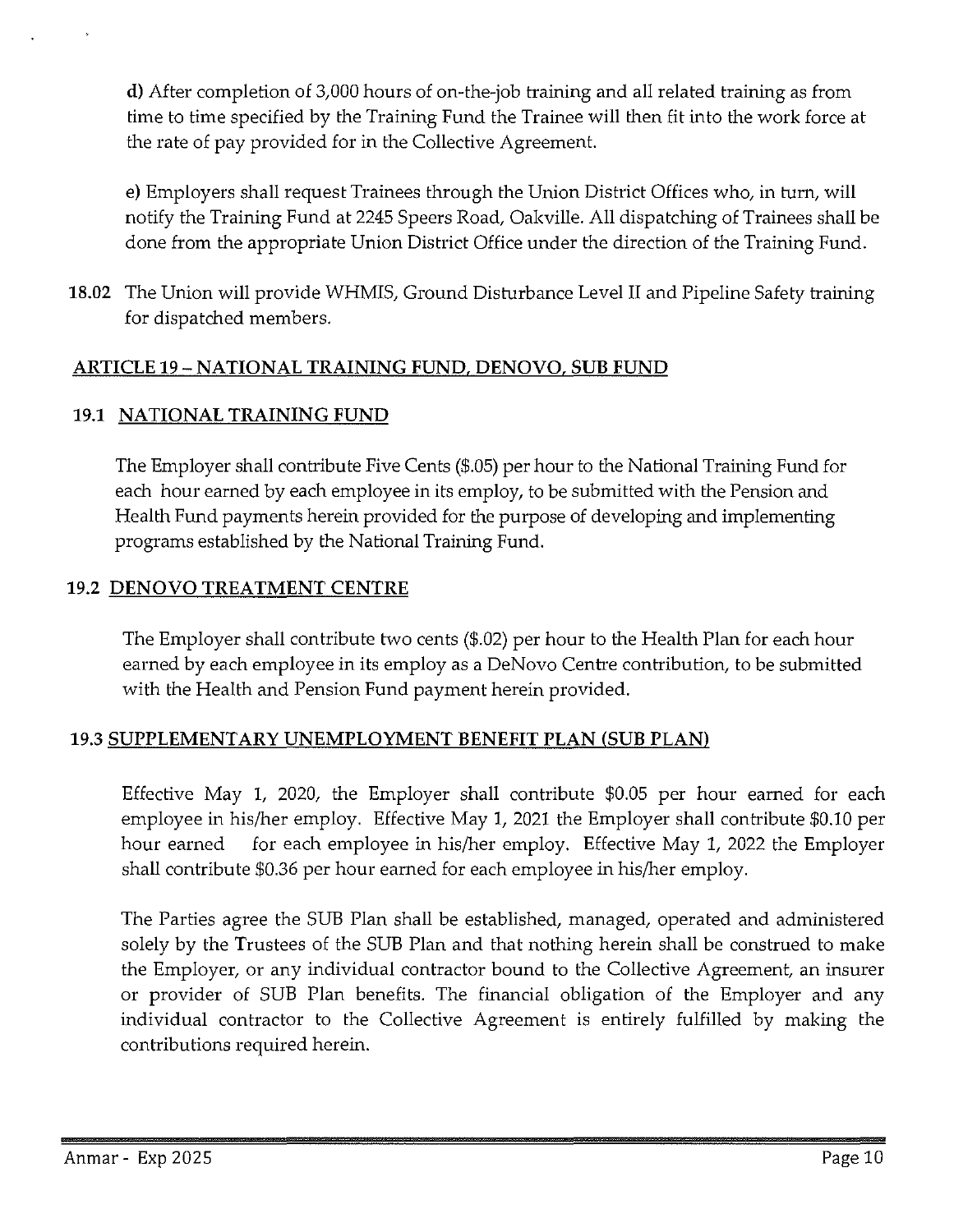**d)** After completion of 3,000 hours of on-the-job training and all related training as from time to time specified by the Training Fund the Trainee will then fit into the work force at the rate of pay provided for in the Collective Agreement.

e) Employers shall request Trainees through the Union District Offices who, in turn, will notify the Training Fund at 2245 Speers Road, Oakville. All dispatching of Trainees shall be done from the appropriate Union District Office under the direction of the Training Fund.

**18.02** The Union will provide WHMIS, Ground Disturbance Level II and Pipeline Safety training for dispatched members.

## **ARTICLE 19- NATIONAL TRAINING FUND, DENOVO, SUB FUND**

## **19.1 NATIONAL TRAINING FUND**

The Employer shall contribute Five Cents (\$.05) per hour to the National Training Fund for each hour earned by each employee in its employ, to be submitted with the Pension and Health Fund payments herein provided for the purpose of developing and implementing programs established by the National Training Fund.

### **19.2 DENOVO TREATMENT CENTRE**

The Employer shall contribute two cents (\$.02) per hour to the Health Plan for each hour earned by each employee in its employ as a DeNovo Centre contribution, to be submitted with the Health and Pension Fund payment herein provided.

## **19.3 SUPPLEMENTARY UNEMPLOYMENT BENEFIT PLAN (SUB PLAN)**

Effective May l, 2020, the Employer shall contribute \$0.05 per hour earned for each employee in his/her employ. Effective May 1, 2021 the Employer shall contribute \$0.10 per hour earned for each employee in his/her employ. Effective May 1, 2022 the Employer shall contribute \$0.36 per hour earned for each employee in his/her employ.

The Parties agree the SUB Plan shall be established, managed, operated and administered solely by the Trustees of the SUB Plan and that nothing herein shall be construed to make the Employer, or any individual contractor bound to the Collective Agreement, an insurer or provider of SUB Plan benefits. The financial obligation of the Employer and any individual contractor to the Collective Agreement is entirely fulfilled by making the contributions required herein.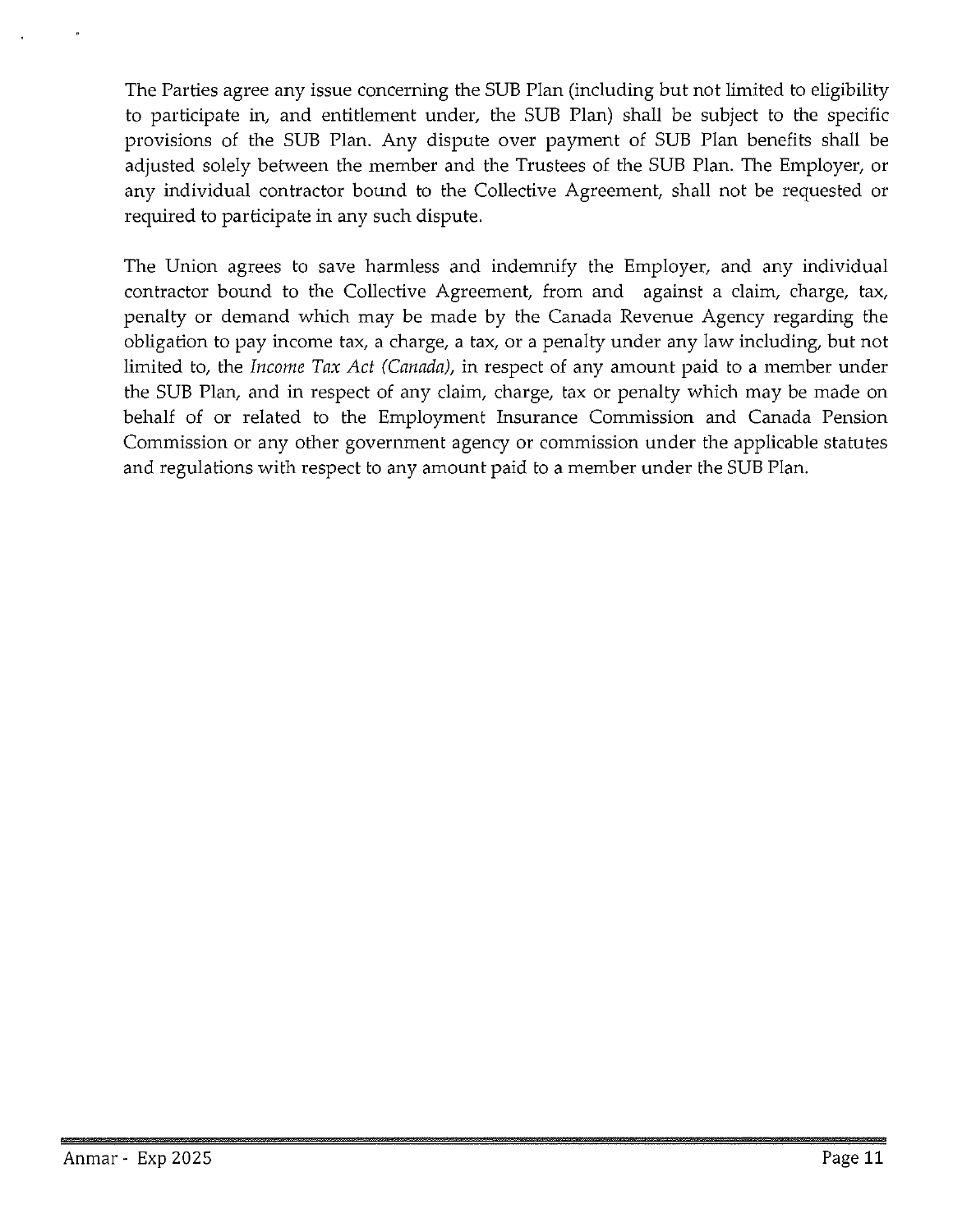The Parties agree any issue concerning the SUB Plan (including but not limited to eligibility to participate in, and entitlement under, the SUB Plan) shall be subject to the specific provisions of the SUB Plan. Any dispute over payment of SUB Plan benefits shall be adjusted solely between the member and the Trustees of the SUB Plan. The Employer, or any individual contractor bound to the Collective Agreement, shall not be requested or required to participate in any such dispute.

The Union agrees to save harmless and indemnify the Employer, and any individual contractor bound to the Collective Agreement, from and against a claim, charge, tax, penalty or demand which may be made by the Canada Revenue Agency regarding the obligation to pay income tax, a charge, a tax, or a penalty under any law including, but not limited to, the *Income Tax Act (Canada),* in respect of any amount paid to a member under the SUB Plan, and in respect of any claim, charge, tax or penalty which may be made on behalf of or related to the Employment Insurance Commission and Canada Pension Commission or any other government agency or commission under the applicable statutes and regulations with respect to any amount paid to a member under the SUB Plan.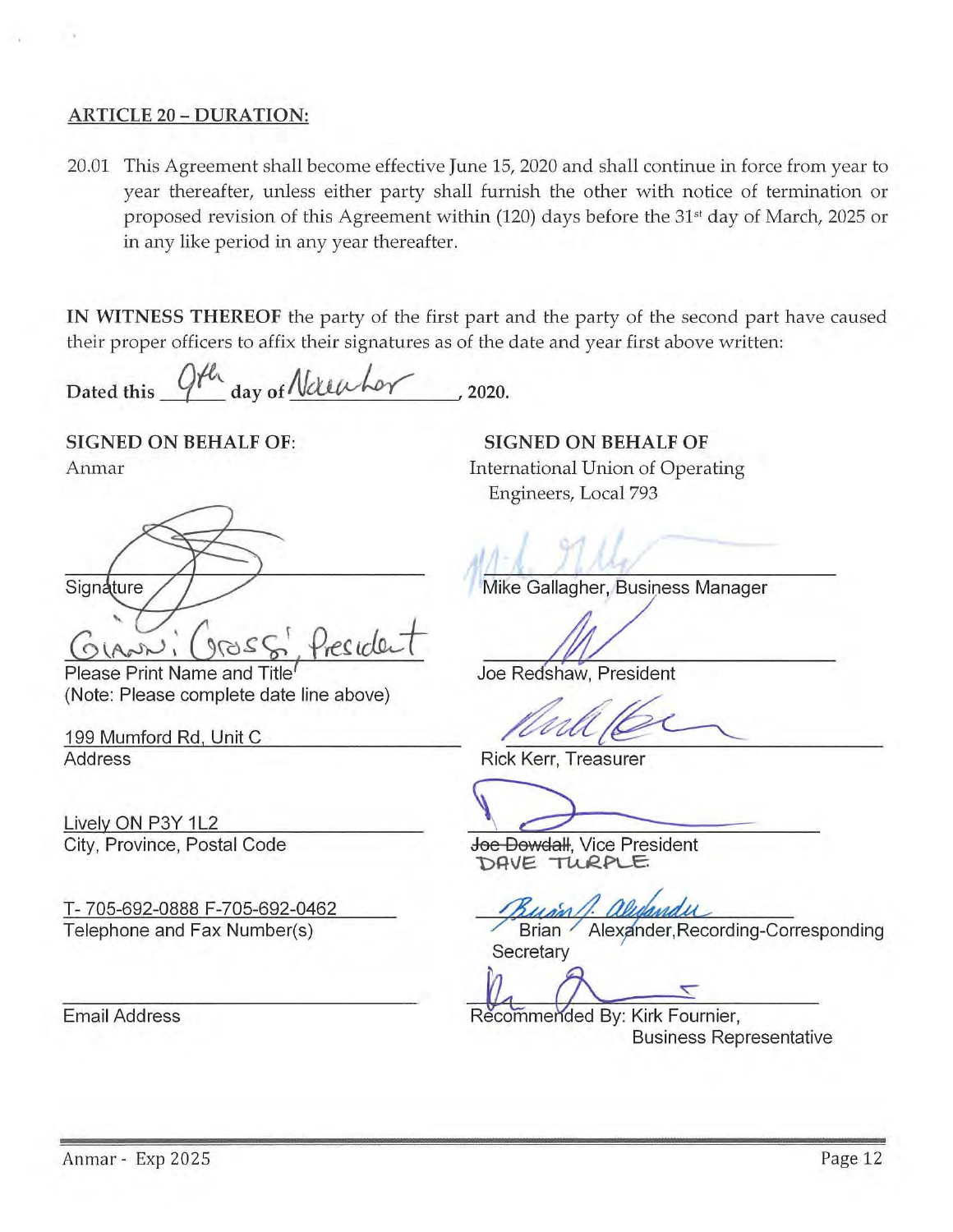#### ARTICLE 20 - DURATION:

20.01 This Agreement shall become effective June 15, 2020 and shall continue in force from year to year thereafter, unless either party shall furnish the other with notice of termination or proposed revision of this Agreement within (120) days before the 31<sup>st</sup> day of March, 2025 or in any like period in any year thereafter.

IN WITNESS THEREOF the party of the first part and the party of the second part have caused their proper officers to affix their signatures as of the date and year first above written:

Dated this  $Qf^{\ell_1}$  day of Netwhor , 2020.

SIGNED ON BEHALF OF: Anmar

Signature  $G_{\text{VAP}}$ : (gro $SC_{\text{P}}$ . President

Please Print Name and Title1 (Note: Please complete date line above)

199 Mumford Rd, Unit C Address

Lively ON P3Y 1L2 City, Province, Postal Code

T- 705-692-0888 F-705-692-0462 Telephone and Fax Number(s)

Email Address

SIGNED ON BEHALF OF International Union of Operating Engineers, Local 793

Mike Gallagher, Business Manager

Joe Redshaw, President

Rick Kerr, Treasurer

 $\bigcap$ 

Joe Dowdall, Vice President DAVE TURPLE.

Brian / Alexander, Recording-Corresponding **Secretary** 

Recommended By: Kirk Fournier, Business Representative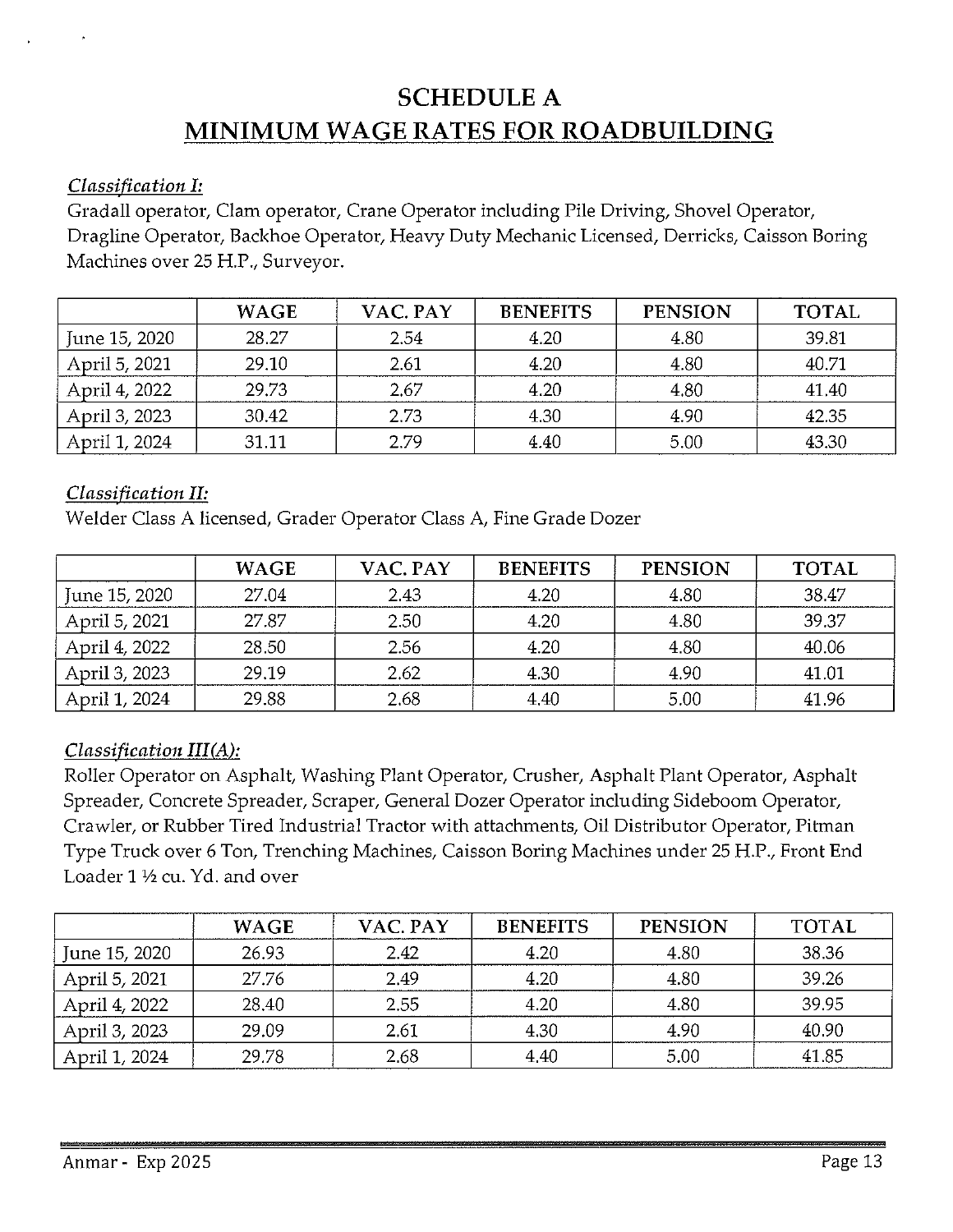## **SCHEDULE A MINIMUM WAGE RATES FOR ROADBUILDING**

#### *Classification I:*

Gradall operator, Clam operator, Crane Operator including Pile Driving, Shovel Operator, Dragline Operator, Backhoe Operator, Heavy Duty Mechanic Licensed, Derricks, Caisson Boring Machines over 25 H.P., Surveyor.

|               | <b>WAGE</b> | VAC. PAY | <b>BENEFITS</b> | <b>PENSION</b> | <b>TOTAL</b> |
|---------------|-------------|----------|-----------------|----------------|--------------|
| June 15, 2020 | 28.27       | 2.54     | 4.20            | 4.80           | 39.81        |
| April 5, 2021 | 29.10       | 2.61     | 4.20            | 4.80           | 40.71        |
| April 4, 2022 | 29.73       | 2.67     | 4.20            | 4.80           | 41.40        |
| April 3, 2023 | 30.42       | 2.73     | 4.30            | 4.90           | 42.35        |
| April 1, 2024 | 31 11       | 2.79     | 4.40            | 5.00           | 43.30        |

#### *Classification II:*

Welder Class A licensed, Grader Operator Class A, Fine Grade Dozer

|               | <b>WAGE</b> | VAC. PAY | <b>BENEFITS</b> | <b>PENSION</b> | <b>TOTAL</b> |
|---------------|-------------|----------|-----------------|----------------|--------------|
| June 15, 2020 | 27.04       | 2.43     | 4.20            | 4.80           | 38.47        |
| April 5, 2021 | 27.87       | 2.50     | 4.20            | 4.80           | 39.37        |
| April 4, 2022 | 28.50       | 2.56     | 4.20            | 4.80           | 40.06        |
| April 3, 2023 | 29.19       | 2.62     | 4.30            | 4.90           | 41.01        |
| April 1, 2024 | 29.88       | 2.68     | 4.40            | 5.00           | 41.96        |

#### *Classification III(A):*

Roller Operator on Asphalt, Washing Plant Operator, Crusher, Asphalt Plant Operator, Asphalt Spreader, Concrete Spreader, Scraper, General Dozer Operator including Sideboom Operator, Crawler, or Rubber Tired Industrial Tractor with attachments, Oil Distributor Operator, Pitman Type Truck over 6 Ton, Trenching Machines, Caisson Boring Machines under 25 H.P., Front End Loader  $1\frac{1}{2}$  cu. Yd. and over

|               | <b>WAGE</b> | VAC. PAY | <b>BENEFITS</b> | <b>PENSION</b> | <b>TOTAL</b> |
|---------------|-------------|----------|-----------------|----------------|--------------|
| June 15, 2020 | 26.93       | 2.42     | 4.20            | 4.80           | 38.36        |
| April 5, 2021 | 27.76       | 2.49     | 4.20            | 4.80           | 39.26        |
| April 4, 2022 | 28.40       | 2.55     | 4.20            | 4.80           | 39.95        |
| April 3, 2023 | 29.09       | 2.61     | 4.30            | 4.90           | 40.90        |
| April 1, 2024 | 29.78       | 2.68     | 4.40            | 5.00           | 41.85        |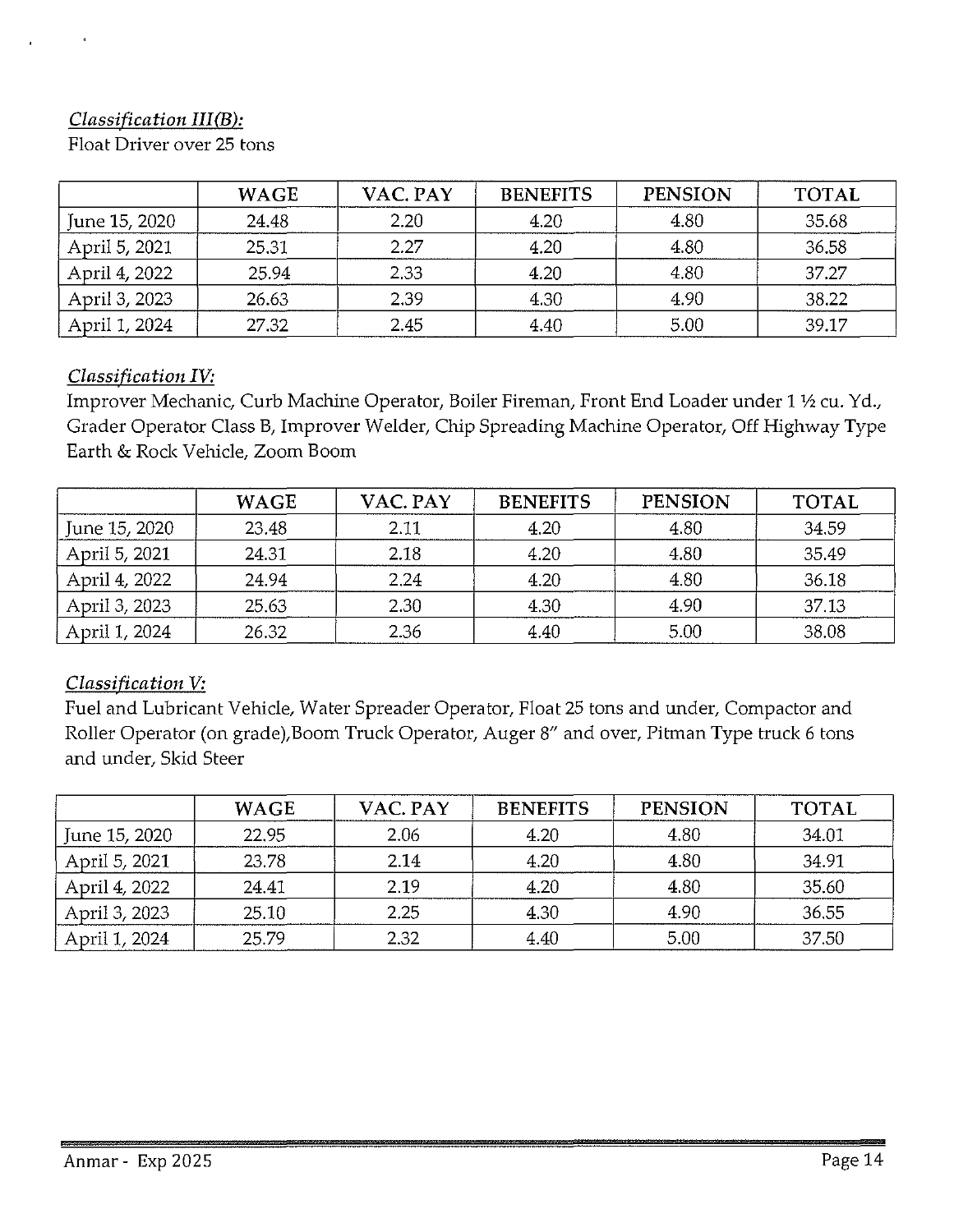## *Classification III(B):*

Float Driver over 25 tons

|               | <b>WAGE</b> | VAC. PAY | <b>BENEFITS</b> | <b>PENSION</b> | <b>TOTAL</b> |
|---------------|-------------|----------|-----------------|----------------|--------------|
| June 15, 2020 | 24.48       | 2.20     | 4.20            | 4.80           | 35.68        |
| April 5, 2021 | 25.31       | 2.27     | 4.20            | 4.80           | 36.58        |
| April 4, 2022 | 25.94       | 2.33     | 4.20            | 4.80           | 37.27        |
| April 3, 2023 | 26.63       | 2.39     | 4.30            | 4.90           | 38.22        |
| April 1, 2024 | 27.32       | 2.45     | 4.40            | 5.00           | 39.17        |

### *Classification IV:*

Improver Mechanic, Curb Machine Operator, Boiler Fireman, Front End Loader under 1 <sup>1</sup>/2 cu. Yd., Grader Operator Class B, Improver Welder, Chip Spreading Machine Operator, Off Highway Type Earth & Rock Vehicle, Zoom Boom

|               | <b>WAGE</b> | VAC. PAY | <b>BENEFITS</b> | <b>PENSION</b> | <b>TOTAL</b> |
|---------------|-------------|----------|-----------------|----------------|--------------|
| June 15, 2020 | 23.48       | 2.11     | 4.20            | 4.80           | 34.59        |
| April 5, 2021 | 24.31       | 2.18     | 4.20            | 4.80           | 35.49        |
| April 4, 2022 | 24.94       | 2.24     | 4.20            | 4.80           | 36.18        |
| April 3, 2023 | 25.63       | 2.30     | 4.30            | 4.90           | 37.13        |
| April 1, 2024 | 26.32       | 2.36     | 4.40            | 5.00           | 38.08        |

## *Classification V:*

Fuel and Lubricant Vehicle, Water Spreader Operator, Float 25 tons and under, Compactor and Roller Operator (on grade),Boom Truck Operator, Auger 8" and over, Pitman Type truck 6 tons and under, Skid Steer

|               | <b>WAGE</b> | VAC. PAY | <b>BENEFITS</b> | <b>PENSION</b> | <b>TOTAL</b> |
|---------------|-------------|----------|-----------------|----------------|--------------|
| June 15, 2020 | 22.95       | 2.06     | 4.20            | 4.80           | 34.01        |
| April 5, 2021 | 23.78       | 2.14     | 4.20            | 4.80           | 34.91        |
| April 4, 2022 | 24.41       | 2.19     | 4.20            | 4.80           | 35.60        |
| April 3, 2023 | 25.10       | 2.25     | 4.30            | 4.90           | 36.55        |
| April 1, 2024 | 25.79       | 2.32     | 4.40            | 5.00           | 37.50        |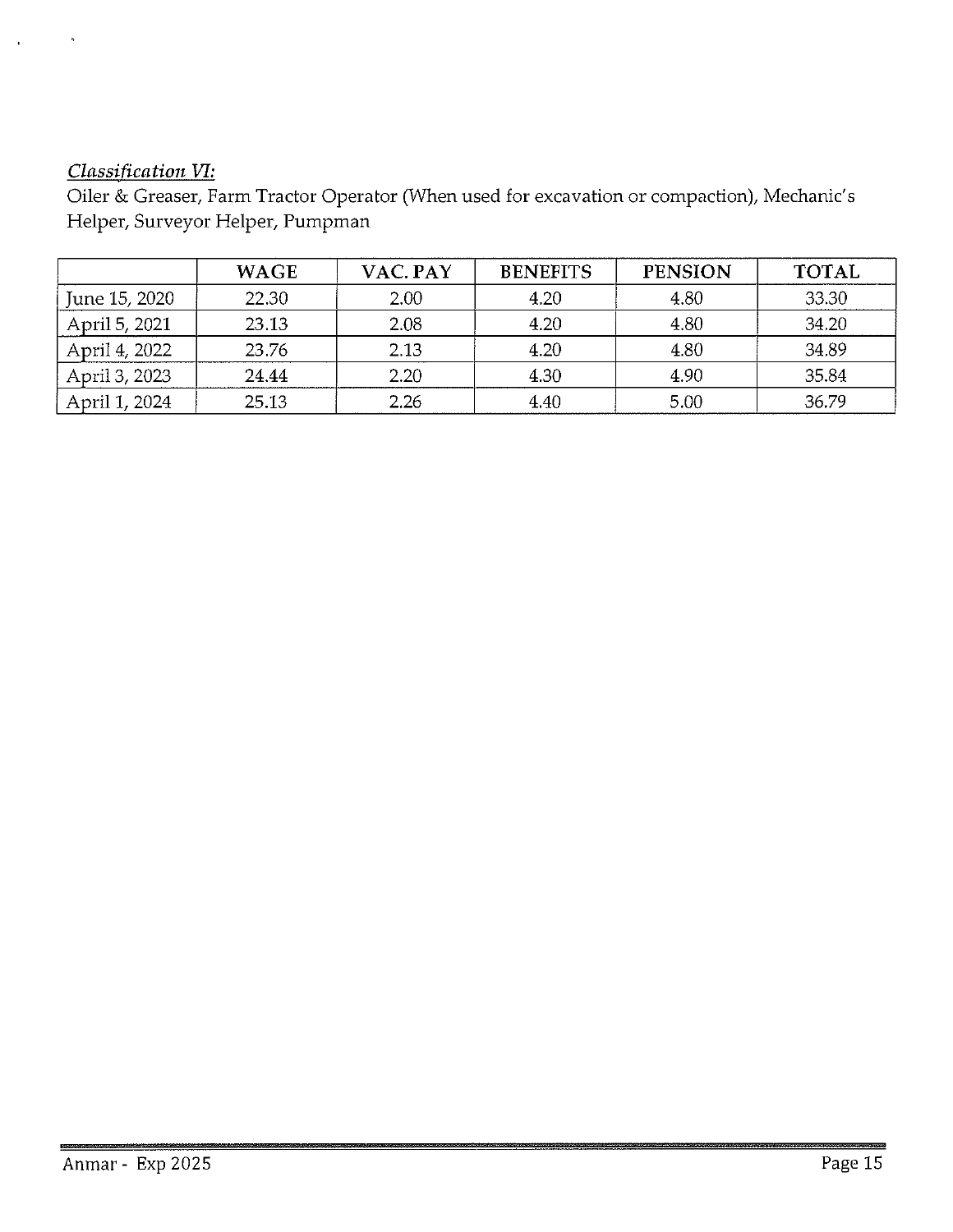## *Classification VI:*

Oiler & Greaser, Farm Tractor Operator (When used for excavation or compaction), Mechanic's Helper, Surveyor Helper, Pumpman

|               | <b>WAGE</b> | VAC. PAY | <b>BENEFITS</b> | <b>PENSION</b> | <b>TOTAL</b> |
|---------------|-------------|----------|-----------------|----------------|--------------|
| June 15, 2020 | 22.30       | 2.00     | 4.20            | 4.80           | 33.30        |
| April 5, 2021 | 23.13       | 2.08     | 4.20            | 4.80           | 34.20        |
| April 4, 2022 | 23.76       | 2.13     | 4.20            | 4.80           | 34.89        |
| April 3, 2023 | 24.44       | 2.20     | 4.30            | 4.90           | 35.84        |
| April 1, 2024 | 25.13       | 2.26     | 4.40            | 5.00           | 36.79        |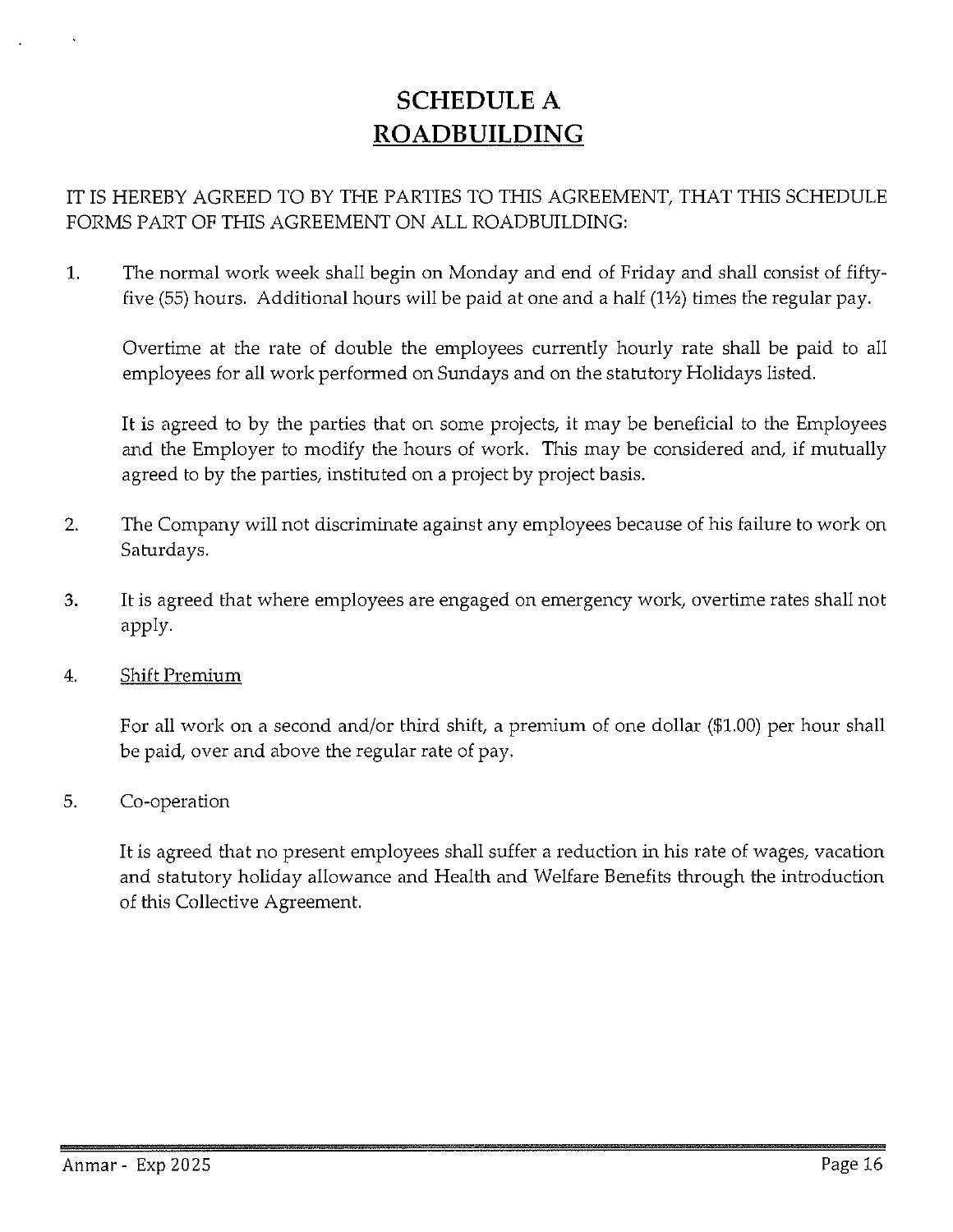## **SCHEDULE** A **ROADBUILDING**

## IT IS HEREBY AGREED TO BY THE PARTIES TO THIS AGREEMENT, THAT THIS SCHEDULE FORMS PART OF THIS AGREEMENT ON ALL ROADBUILDING:

1. The normal work week shall begin on Monday and end of Friday and shall consist of fiftyfive (55) hours. Additional hours will be paid at one and a half  $(1\frac{1}{2})$  times the regular pay.

Overtime at the rate of double the employees currently hourly rate shall be paid to all employees for all work performed on Sundays and on the statutory Holidays listed.

It is agreed to by the parties that on some projects, it may be beneficial to the Employees and the Employer to modify the hours of work. This may be considered and, if mutually agreed to by the parties, instituted on a project by project basis.

- 2. The Company will not discriminate against any employees because of his failure to work on Saturdays.
- 3. It is agreed that where employees are engaged on emergency work, overtime rates shall not apply.
- 4. Shift Premium

For all work on a second and/or third shift, a premium of one dollar (\$1.00) per hour shall be paid, over and above the regular rate of pay.

5. Co-operation

It is agreed that no present employees shall suffer a reduction in his rate of wages, vacation and statutory holiday allowance and Health and Welfare Benefits through the introduction of this Collective Agreement.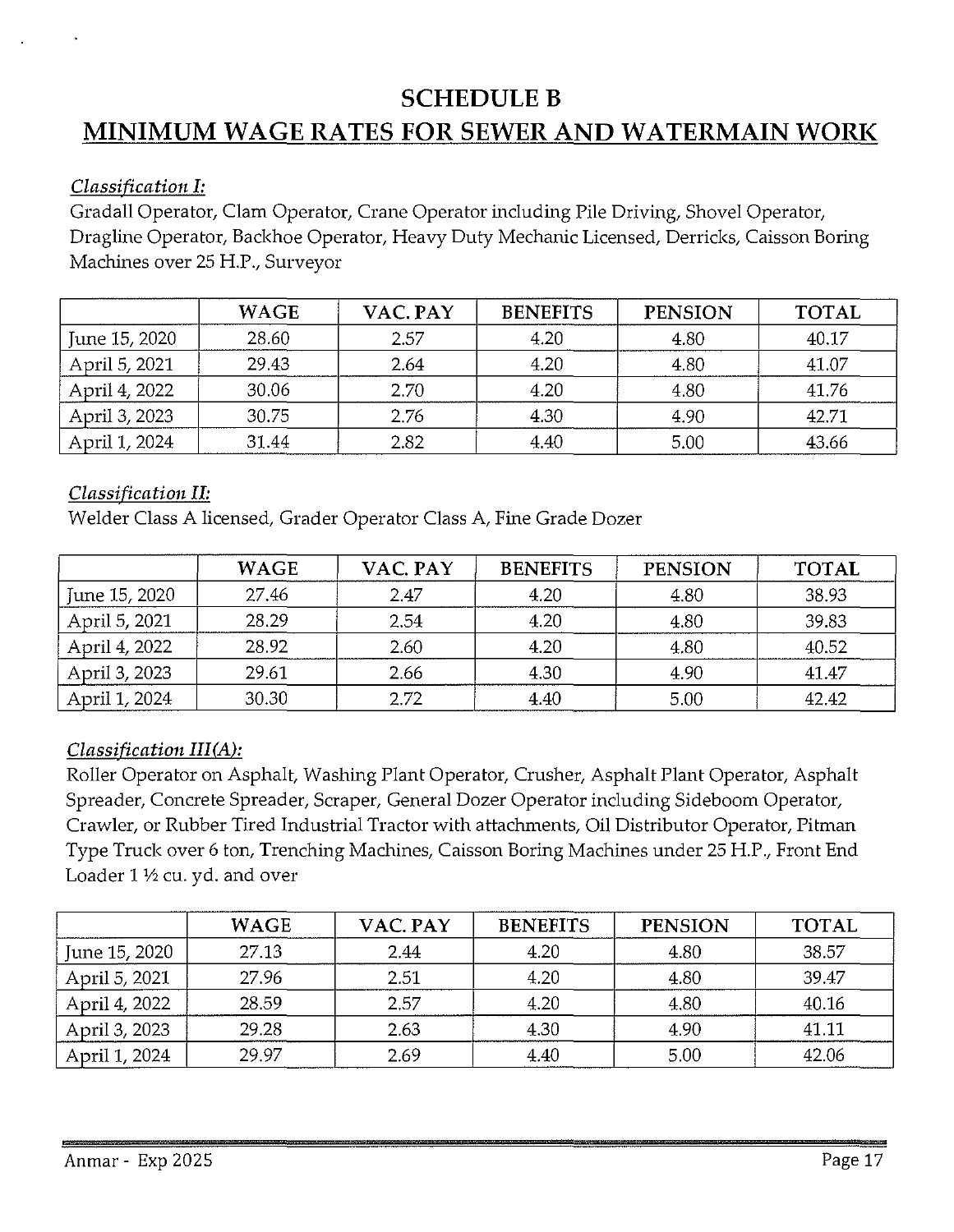## **SCHEDULE B MINIMUM WAGE RATES FOR SEWER AND WATERMAIN WORK**

### *Classification I:*

Gradall Operator, Clam Operator, Crane Operator including Pile Driving, Shovel Operator, Dragline Operator, Backhoe Operator, Heavy Duty Mechanic Licensed, Derricks, Caisson Boring Machines over 25 H.P., Surveyor

|               | <b>WAGE</b> | VAC. PAY | <b>BENEFITS</b> | <b>PENSION</b> | <b>TOTAL</b> |
|---------------|-------------|----------|-----------------|----------------|--------------|
| June 15, 2020 | 28.60       | 2.57     | 4.20            | 4.80           | 40.17        |
| April 5, 2021 | 29.43       | 2.64     | 4.20            | 4.80           | 41.07        |
| April 4, 2022 | 30.06       | 2.70     | 4.20            | 4.80           | 4176         |
| April 3, 2023 | 30.75       | 2.76     | 4.30            | 4.90           | 42.71        |
| April 1, 2024 | 31.44       | 2.82     | 4.40            | 5.00           | 43.66        |

#### *Classification II:*

Welder Class A licensed, Grader Operator Class A, Fine Grade Dozer

|               | <b>WAGE</b> | VAC. PAY | <b>BENEFITS</b> | <b>PENSION</b> | <b>TOTAL</b> |
|---------------|-------------|----------|-----------------|----------------|--------------|
| June 15, 2020 | 27.46       | 2.47     | 4.20            | 4.80           | 38.93        |
| April 5, 2021 | 28.29       | 2.54     | 4.20            | 4.80           | 39.83        |
| April 4, 2022 | 28.92       | 2.60     | 4.20            | 4.80           | 40.52        |
| April 3, 2023 | 29.61       | 2.66     | 4.30            | 4.90           | 41.47        |
| April 1, 2024 | 30.30       | 2.72     | 4.40            | 5.00           | 42.42        |

## *Classification III(A):*

Roller Operator on Asphalt, Washing Plant Operator, Crusher, Asphalt Plant Operator, Asphalt Spreader, Concrete Spreader, Scraper, General Dozer Operator including Sideboom Operator, Crawler, or Rubber Tired Industrial Tractor with attachments, Oil Distributor Operator, Pitman Type Truck over 6 ton, Trenching Machines, Caisson Boring Machines under 25 H.P., Front End Loader  $1\frac{1}{2}$  cu. yd. and over

|               | <b>WAGE</b> | VAC. PAY | <b>BENEFITS</b> | <b>PENSION</b> | <b>TOTAL</b> |
|---------------|-------------|----------|-----------------|----------------|--------------|
| June 15, 2020 | 27.13       | 2.44     | 4.20            | 4.80           | 38.57        |
| April 5, 2021 | 27.96       | 2.51     | 4.20            | 4.80           | 39.47        |
| April 4, 2022 | 28.59       | 2.57     | 4.20            | 4.80           | 40.16        |
| April 3, 2023 | 29.28       | 2.63     | 4.30            | 4.90           | 41.11        |
| April 1, 2024 | 29.97       | 2.69     | 4.40            | 5.00           | 42.06        |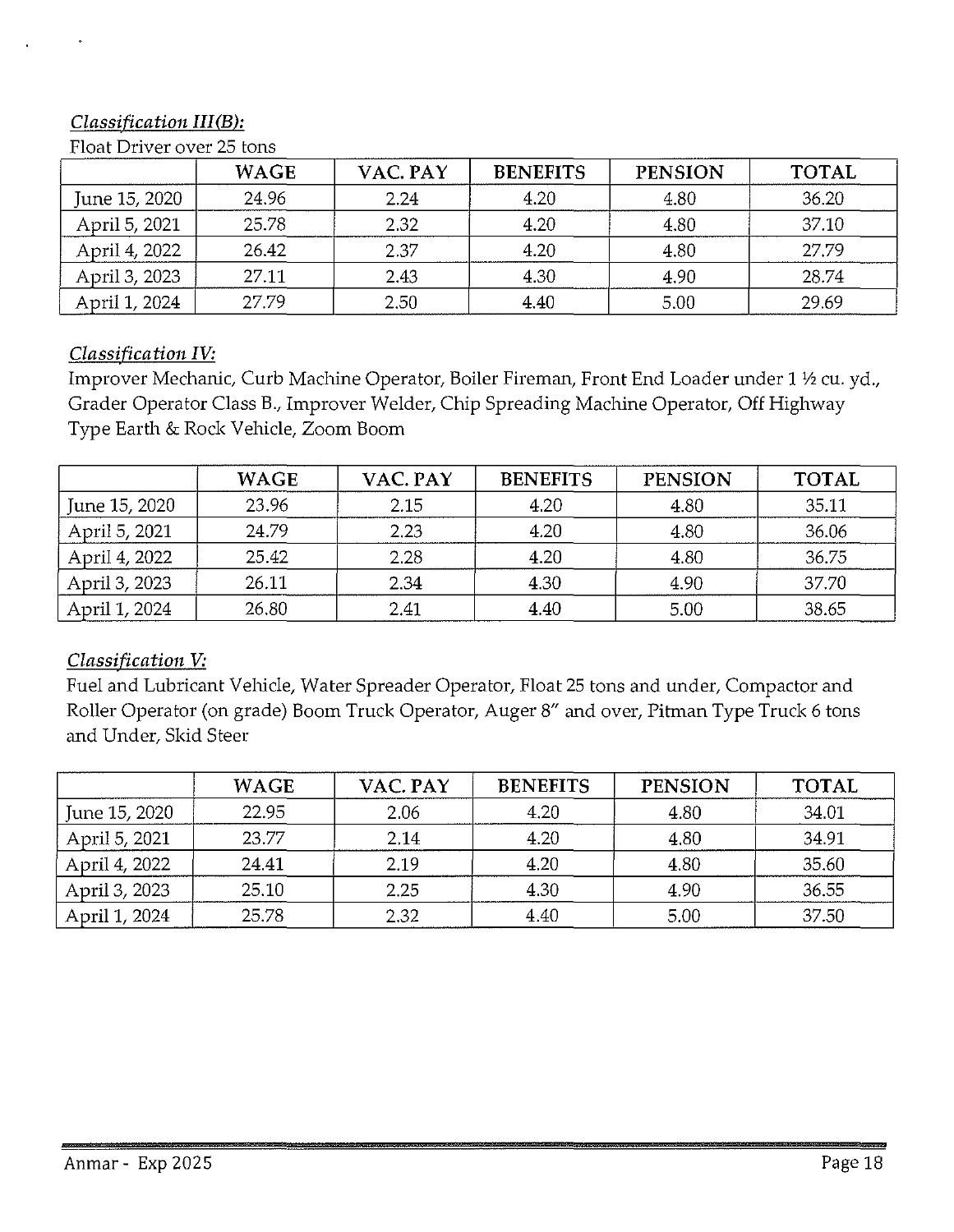## *Classification III(B):*

Float Driver over 25 tons

|               | <b>WAGE</b> | VAC. PAY | <b>BENEFITS</b> | <b>PENSION</b> | <b>TOTAL</b> |
|---------------|-------------|----------|-----------------|----------------|--------------|
| June 15, 2020 | 24.96       | 2.24     | 4.20            | 4.80           | 36.20        |
| April 5, 2021 | 25.78       | 2.32     | 4.20            | 4.80           | 37.10        |
| April 4, 2022 | 26.42       | 2.37     | 4.20            | 4.80           | 27.79        |
| April 3, 2023 | 27.11       | 2.43     | 4.30            | 4.90           | 28.74        |
| April 1, 2024 | 27.79       | 2.50     | 4.40            | 5.00           | 29.69        |

#### *Classification IV:*

Improver Mechanic, Curb Machine Operator, Boiler Fireman, Front End Loader under 1 ½ cu. yd., Grader Operator Class B., Improver Welder, Chip Spreading Machine Operator, Off Highway Type Earth & Rock Vehicle, Zoom Boom

|               | <b>WAGE</b> | VAC. PAY | <b>BENEFITS</b> | <b>PENSION</b> | <b>TOTAL</b> |
|---------------|-------------|----------|-----------------|----------------|--------------|
| June 15, 2020 | 23.96       | 2.15     | 4.20            | 4.80           | 35.11        |
| April 5, 2021 | 24.79       | 2.23     | 4.20            | 4.80           | 36.06        |
| April 4, 2022 | 25.42       | 2.28     | 4.20            | 4.80           | 36.75        |
| April 3, 2023 | 26.11       | 2.34     | 4.30            | 4.90           | 37.70        |
| April 1, 2024 | 26.80       | 2.41     | 4.40            | 5.00           | 38.65        |

## *Classification V:*

Fuel and Lubricant Vehicle, Water Spreader Operator, Float 25 tons and under, Compactor and Roller Operator (on grade) Boom Truck Operator, Auger 8" and over, Pitman Type Truck 6 tons and Under, Skid Steer

|               | <b>WAGE</b> | VAC. PAY | <b>BENEFITS</b> | <b>PENSION</b> | <b>TOTAL</b> |
|---------------|-------------|----------|-----------------|----------------|--------------|
| June 15, 2020 | 22.95       | 2.06     | 4.20            | 4.80           | 34.01        |
| April 5, 2021 | 23.77       | 2.14     | 4.20            | 4.80           | 34.91        |
| April 4, 2022 | 24.41       | 2.19     | 4.20            | 4.80           | 35.60        |
| April 3, 2023 | 25.10       | 2.25     | 4.30            | 4.90           | 36.55        |
| April 1, 2024 | 25.78       | 2.32     | 4.40            | 5.00           | 37.50        |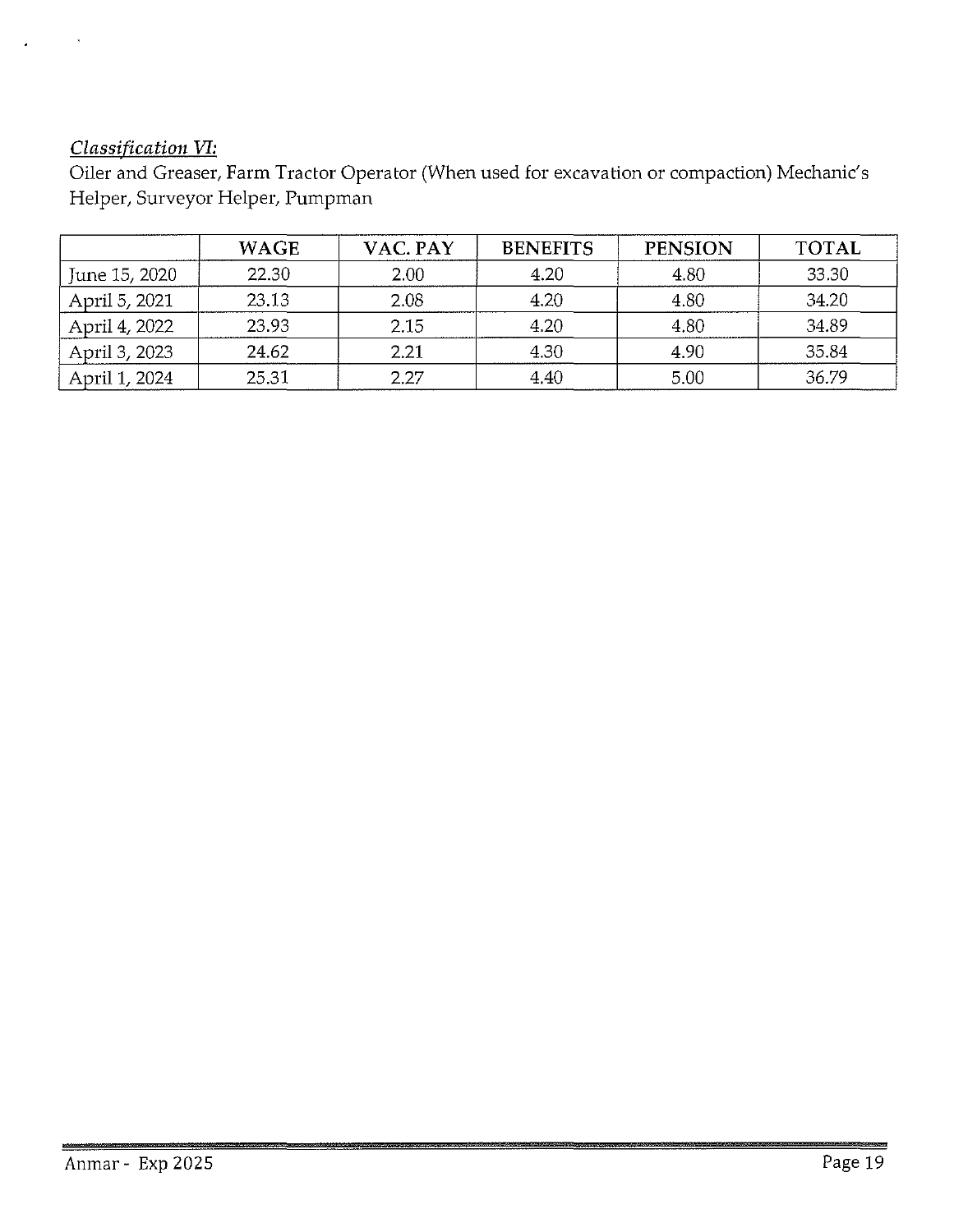## *Classification VI:*

Oiler and Greaser, Farm Tractor Operator (When used for excavation or compaction) Mechanic's Helper, Surveyor Helper, Pumpman

|               | <b>WAGE</b> | VAC. PAY | <b>BENEFITS</b> | <b>PENSION</b> | <b>TOTAL</b> |
|---------------|-------------|----------|-----------------|----------------|--------------|
| June 15, 2020 | 22.30       | 2.00     | 4.20            | 4.80           | 33.30        |
| April 5, 2021 | 23.13       | 2.08     | 4.20            | 4.80           | 34.20        |
| April 4, 2022 | 23.93       | 2.15     | 4.20            | 4.80           | 34.89        |
| April 3, 2023 | 24.62       | 2.21     | 4.30            | 4.90           | 35.84        |
| April 1, 2024 | 25.31       | 2.27     | 4.40            | 5.00           | 36.79        |

燃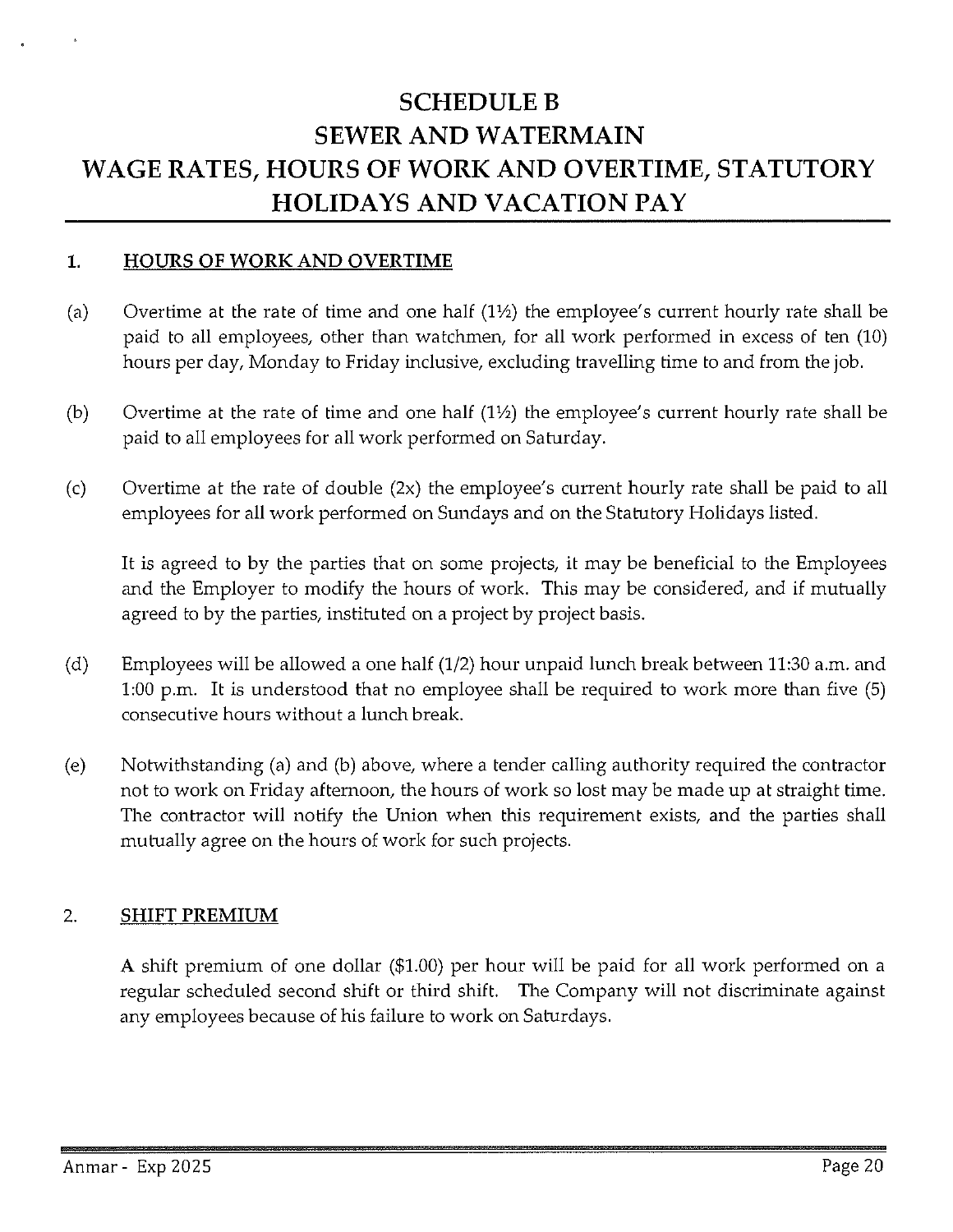## **SCHEDULEB SEWER AND WATERMAIN WAGE RATES, HOURS OF WORK AND OVERTIME, STATUTORY HOLIDAYS AND VACATION PAY**

#### **1. HOURS OF WORK AND OVERTIME**

- (a) Overtime at the rate of time and one half  $(1/2)$  the employee's current hourly rate shall be paid to all employees, other than watchmen, for all work performed in excess of ten (10) hours per day, Monday to Friday inclusive, excluding travelling time to and from the job.
- (b) Overtime at the rate of time and one half  $(1\frac{1}{2})$  the employee's current hourly rate shall be paid to all employees for all work performed on Saturday.
- (c) Overtime at the rate of double (2x) the employee's current hourly rate shall be paid to all employees for all work performed on Sundays and on the Statutory Holidays listed.

It is agreed to by the parties that on some projects, it may be beneficial to the Employees and the Employer to modify the hours of work. This may be considered, and if mutually agreed to by the parties, instituted on a project by project basis.

- (d) Employees will be allowed a one half (1/2) hour unpaid lunch break between 11:30 a.m. and 1:00 p.m. It is understood that no employee shall be required to work more than five (5) consecutive hours without a lunch break.
- (e) Notwithstanding (a) and (b) above, where a tender calling authority required the contractor not to work on Friday afternoon, the hours of work so lost may be made up at straight time. The contractor will notify the Union when this requirement exists, and the parties shall mutually agree on the hours of work for such projects.

#### 2. **SHIFT PREMIUM**

A shift premium of one dollar (\$1.00) per hour will be paid for all work performed on a regular scheduled second shift or third shift. The Company will not discriminate against any employees because of his failure to work on Saturdays.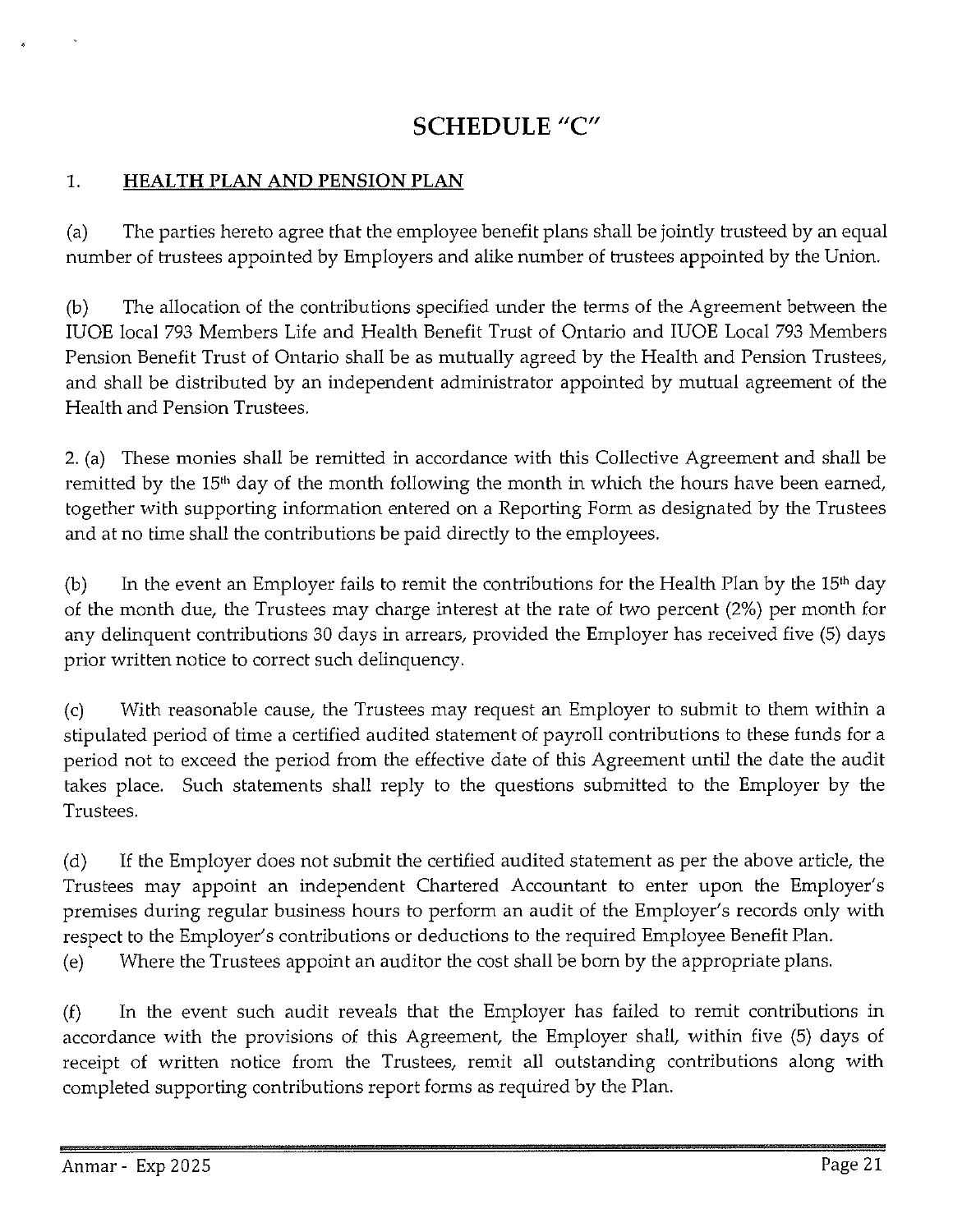## **SCHEDULE "C"**

## 1. **HEALTH PLAN AND PENSION PLAN**

(a) The parties hereto agree that the employee benefit plans shall be jointly trusteed by an equal number of trustees appointed by Employers and alike number of trustees appointed by the Union.

(b) The allocation of the contributions specified under the terms of the Agreement between the IUOE local 793 Members Life and Health Benefit Trust of Ontario and IUOE Local 793 Members Pension Benefit Trust of Ontario shall be as mutually agreed by the Health and Pension Trustees, and shall be distributed by an independent administrator appointed by mutual agreement of the Health and Pension Trustees.

2. (a) These monies shall be remitted in accordance with this Collective Agreement and shall be remitted by the 15<sup>th</sup> day of the month following the month in which the hours have been earned, together with supporting information entered on a Reporting Form as designated by the Trustees and at no time shall the contributions be paid directly to the employees.

(b) In the event an Employer fails to remit the contributions for the Health Plan by the  $15<sup>th</sup>$  day of the month due, the Trustees may charge interest at the rate of two percent (2%) per month for any delinquent contributions 30 days in arrears, provided the Employer has received five (5) days prior written notice to correct such delinquency.

(c) With reasonable cause, the Trustees may request an Employer to submit to them within a stipulated period of time a certified audited statement of payroll contributions to these funds for a period not to exceed the period from the effective date of this Agreement until the date the audit takes place. Such statements shall reply to the questions submitted to the Employer by the Trustees.

(d) If the Employer does not submit the certified audited statement as per the above article, the Trustees may appoint an independent Chartered Accountant to enter upon the Employer's premises during regular business hours to perform an audit of the Employer's records only with respect to the Employer's contributions or deductions to the required Employee Benefit Plan.

(e) Where the Trustees appoint an auditor the cost shall be born by the appropriate plans.

(f) In the event such audit reveals that the Employer has failed to remit contributions in accordance with the provisions of this Agreement, the Employer shall, within five (5) days of receipt of written notice from the Trustees, remit all outstanding contributions along with completed supporting contributions report forms as required by the Plan.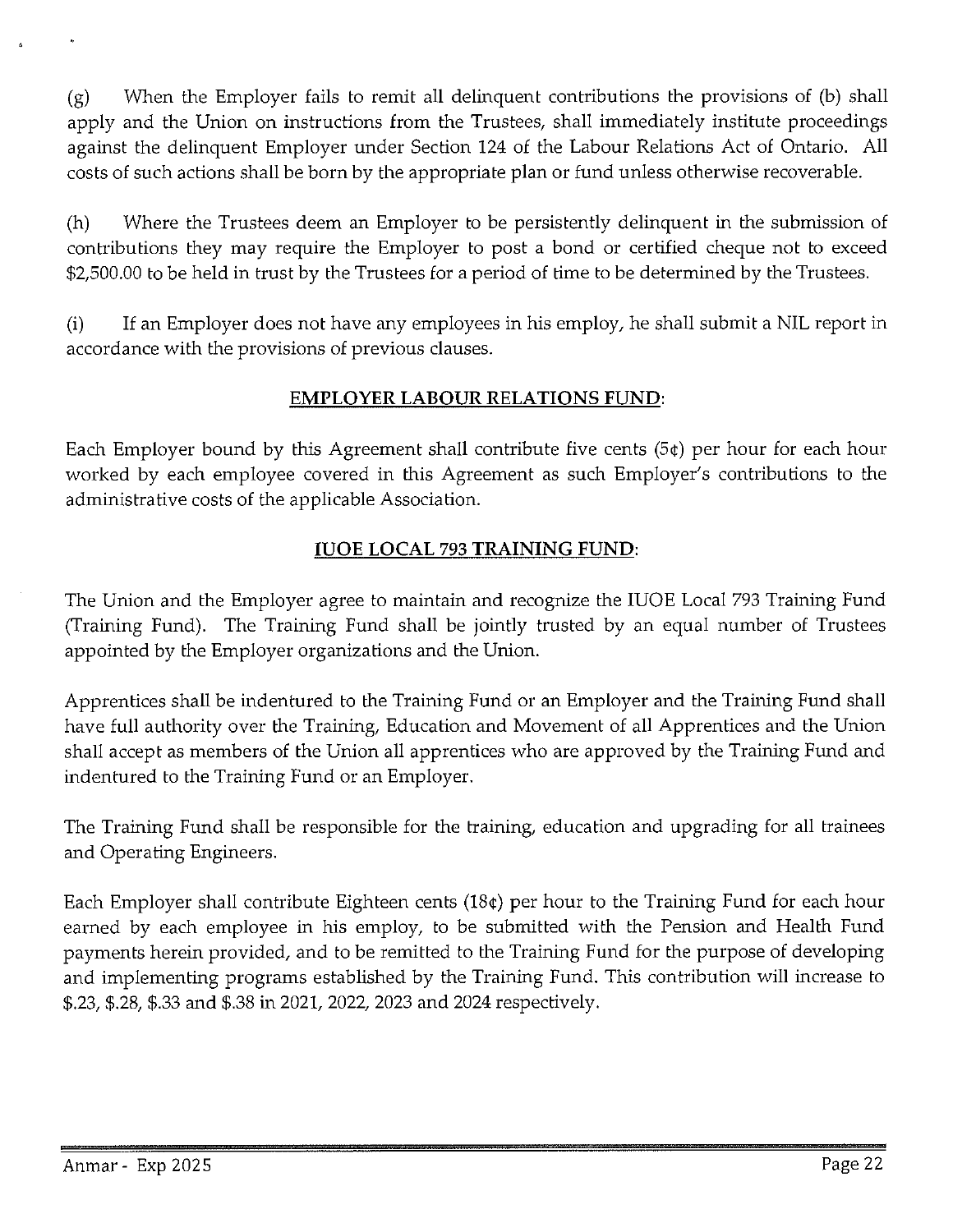(g) When the Employer fails to remit all delinquent contributions the provisions of (b) shall apply and the Union on instructions from the Trustees, shall immediately institute proceedings against the delinquent Employer under Section 124 of the Labour Relations Act of Ontario. All costs of such actions shall be born by the appropriate plan or fund unless otherwise recoverable.

(h) Where the Trustees deem an Employer to be persistently delinquent in the submission of contributions they may require the Employer to post a bond or certified cheque not to exceed \$2,500.00 to be held in trust by the Trustees for a period of time to be determined by the Trustees.

(i) If an Employer does not have any employees in his employ, he shall submit a NIL report in accordance with the provisions of previous clauses.

## **EMPLOYER LABOUR RELATIONS FUND:**

Each Employer bound by this Agreement shall contribute five cents (5¢) per hour for each hour worked by each employee covered in this Agreement as such Employer's contributions to the administrative costs of the applicable Association.

## **IUOE LOCAL** 793 **TRAINING FUND:**

The Union and the Employer agree to maintain and recognize the IUOE Local 793 Training Fund (Training Fund). The Training Fund shall be jointly trusted by an equal number of Trustees appointed by the Employer organizations and the Union.

Apprentices shall be indentured to the Training Fund or an Employer and the Training Fund shall have full authority over the Training, Education and Movement of all Apprentices and the Union shall accept as members of the Union all apprentices who are approved by the Training Fund and indentured to the Training Fund or an Employer.

The Training Fund shall be responsible for the training, education and upgrading for all trainees and Operating Engineers.

Each Employer shall contribute Eighteen cents (18¢) per hour to the Training Fund for each hour earned by each employee in his employ, to be submitted with the Pension and Health Fund payments herein provided, and to be remitted to the Training Fund for the purpose of developing and implementing programs established by the Training Fund. This contribution will increase to \$.23, \$.28, \$.33 and \$.38 in 2021, 2022, 2023 and 2024 respectively.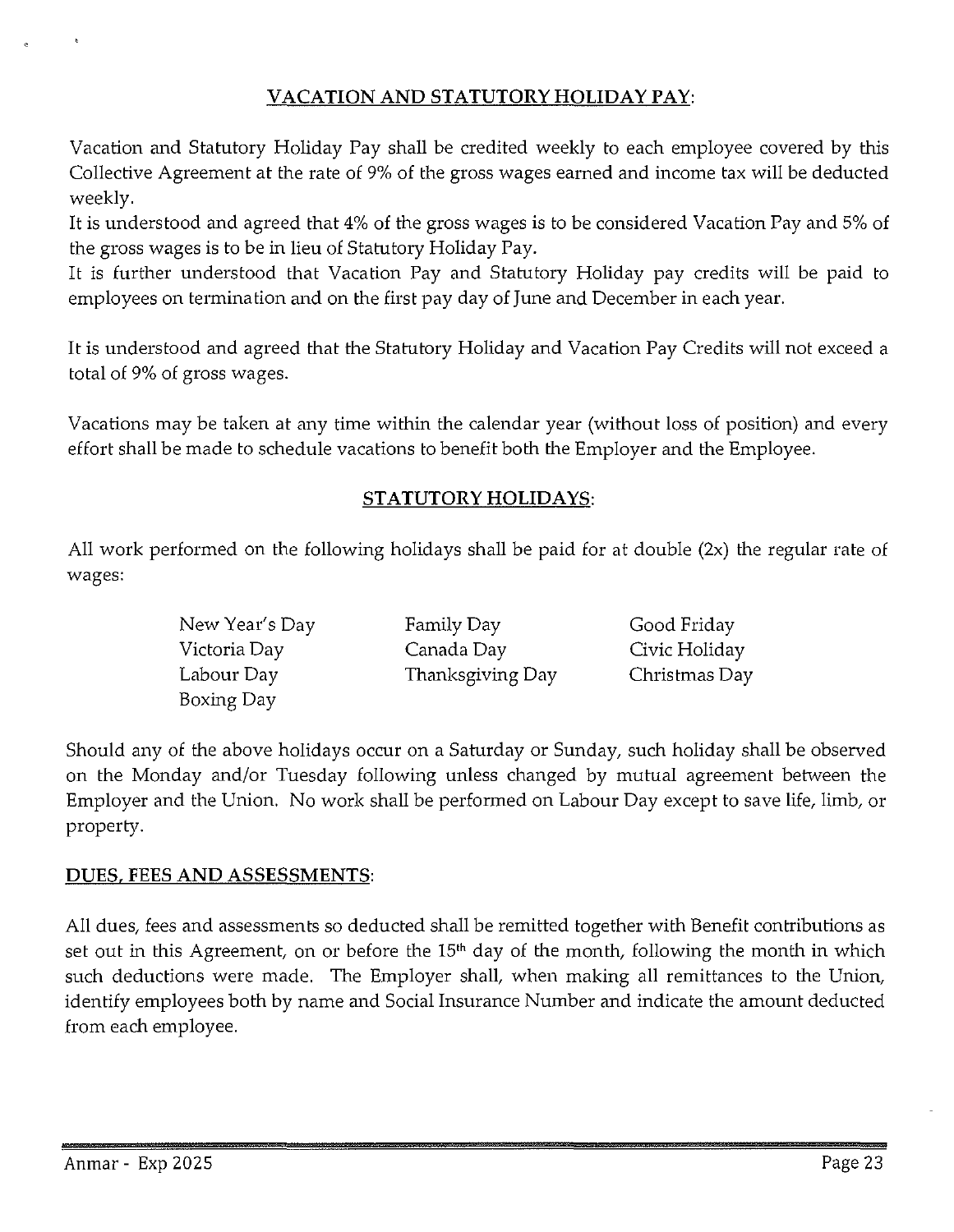## VACATION AND STATUTORY HOLIDAY PAY:

Vacation and Statutory Holiday Pay shall be credited weekly to each employee covered by this Collective Agreement at the rate of 9% of the gross wages earned and income tax will be deducted weekly.

It is understood and agreed that 4% of the gross wages is to be considered Vacation Pay and 5% of the gross wages is to be in lieu of Statutory Holiday Pay.

It is further understood that Vacation Pay and Statutory Holiday pay credits will be paid to employees on termination and on the first pay day of June and December in each year.

It is understood and agreed that the Statutory Holiday and Vacation Pay Credits will not exceed a total of 9% of gross wages.

Vacations may be taken at any time within the calendar year (without loss of position) and every effort shall be made to schedule vacations to benefit both the Employer and the Employee.

#### STATUTORY HOLIDAYS:

All work performed on the following holidays shall be paid for at double (2x) the regular rate of wages:

| New Year's Day | Family Day       | Good Friday   |
|----------------|------------------|---------------|
| Victoria Day   | Canada Day       | Civic Holiday |
| Labour Day     | Thanksgiving Day | Christmas Day |
| Boxing Day     |                  |               |

Should any of the above holidays occur on a Saturday or Sunday, such holiday shall be observed on the Monday and/or Tuesday following unless changed by mutual agreement between the Employer and the Union. No work shall be performed on Labour Day except to save life, limb, or property.

#### DUES, FEES AND ASSESSMENTS:

All dues, fees and assessments so deducted shall be remitted together with Benefit contributions as set out in this Agreement, on or before the  $15<sup>th</sup>$  day of the month, following the month in which such deductions were made. The Employer shall, when making all remittances to the Union, identify employees both by name and Social Insurance Number and indicate the amount deducted from each employee.